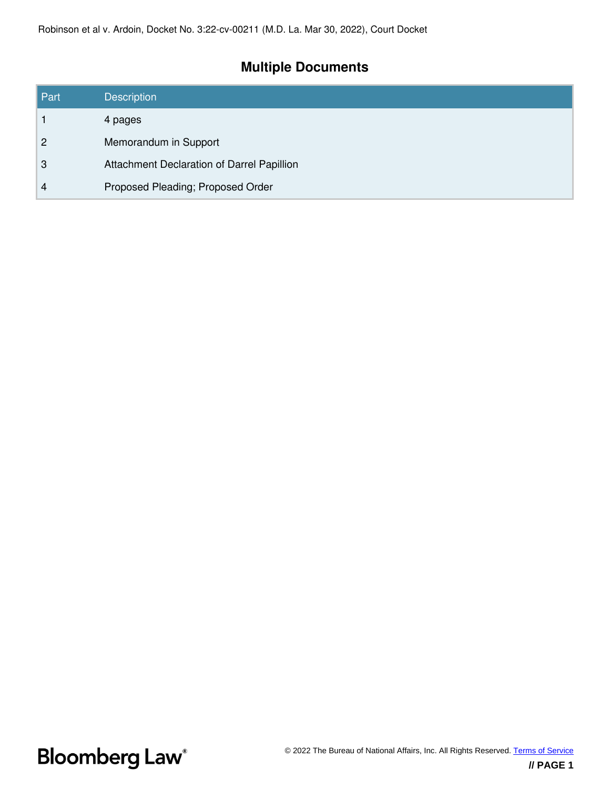# **Multiple Documents**

| Part           | <b>Description</b>                         |
|----------------|--------------------------------------------|
|                | 4 pages                                    |
| $\overline{2}$ | Memorandum in Support                      |
| 3              | Attachment Declaration of Darrel Papillion |
| 4              | Proposed Pleading; Proposed Order          |

**Bloomberg Law**<sup>®</sup>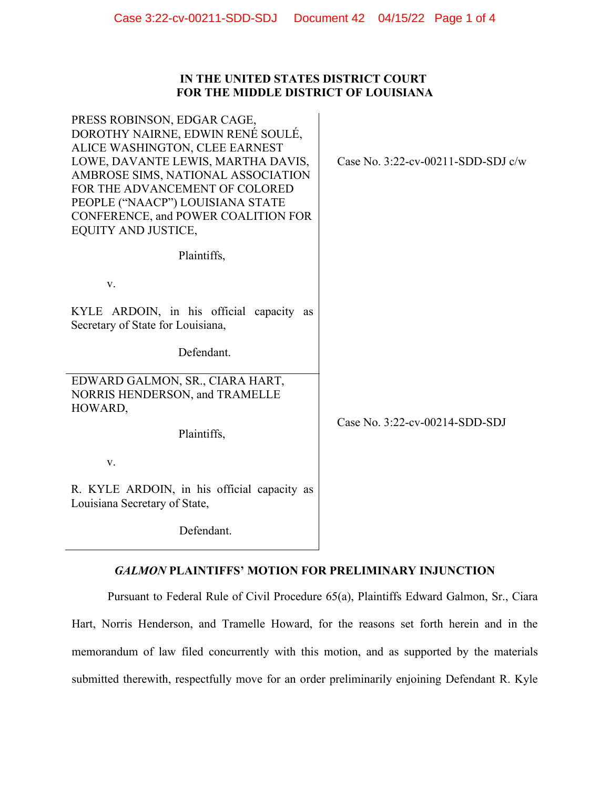# **IN THE UNITED STATES DISTRICT COURT FOR THE MIDDLE DISTRICT OF LOUISIANA**

| PRESS ROBINSON, EDGAR CAGE,<br>DOROTHY NAIRNE, EDWIN RENÉ SOULÉ,<br>ALICE WASHINGTON, CLEE EARNEST<br>LOWE, DAVANTE LEWIS, MARTHA DAVIS,<br>AMBROSE SIMS, NATIONAL ASSOCIATION<br>FOR THE ADVANCEMENT OF COLORED<br>PEOPLE ("NAACP") LOUISIANA STATE<br>CONFERENCE, and POWER COALITION FOR<br>EQUITY AND JUSTICE, | Case No. $3:22$ -cv-00211-SDD-SDJ c/w |  |
|--------------------------------------------------------------------------------------------------------------------------------------------------------------------------------------------------------------------------------------------------------------------------------------------------------------------|---------------------------------------|--|
| Plaintiffs,                                                                                                                                                                                                                                                                                                        |                                       |  |
| V.                                                                                                                                                                                                                                                                                                                 |                                       |  |
| KYLE ARDOIN, in his official capacity as<br>Secretary of State for Louisiana,                                                                                                                                                                                                                                      |                                       |  |
| Defendant.                                                                                                                                                                                                                                                                                                         |                                       |  |
| EDWARD GALMON, SR., CIARA HART,<br>NORRIS HENDERSON, and TRAMELLE<br>HOWARD,                                                                                                                                                                                                                                       |                                       |  |
| Plaintiffs,                                                                                                                                                                                                                                                                                                        | Case No. 3:22-cv-00214-SDD-SDJ        |  |
| V.                                                                                                                                                                                                                                                                                                                 |                                       |  |
| R. KYLE ARDOIN, in his official capacity as<br>Louisiana Secretary of State,                                                                                                                                                                                                                                       |                                       |  |
| $D = \int a \cdot a \cdot d \cdot a$                                                                                                                                                                                                                                                                               |                                       |  |

Defendant.

# *GALMON* **PLAINTIFFS' MOTION FOR PRELIMINARY INJUNCTION**

Pursuant to Federal Rule of Civil Procedure 65(a), Plaintiffs Edward Galmon, Sr., Ciara Hart, Norris Henderson, and Tramelle Howard, for the reasons set forth herein and in the memorandum of law filed concurrently with this motion, and as supported by the materials submitted therewith, respectfully move for an order preliminarily enjoining Defendant R. Kyle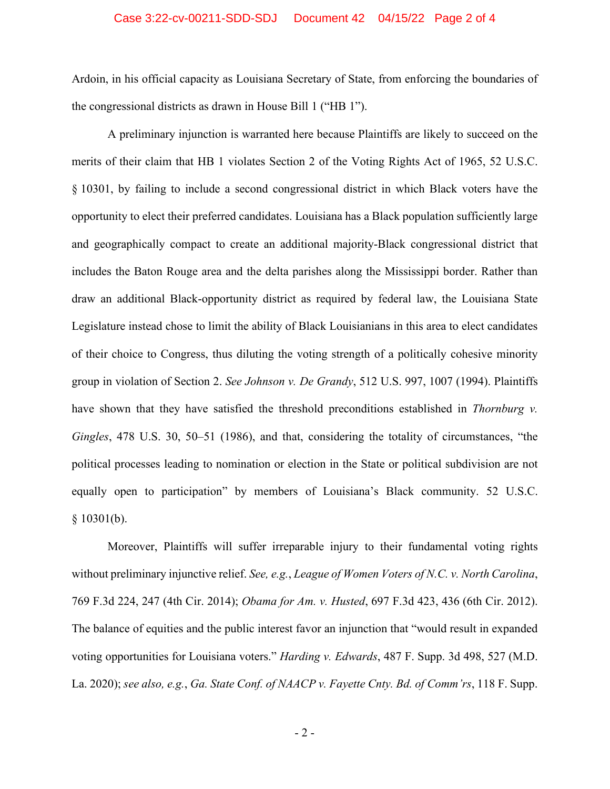#### Case 3:22-cv-00211-SDD-SDJ Document 42 04/15/22 Page 2 of 4

Ardoin, in his official capacity as Louisiana Secretary of State, from enforcing the boundaries of the congressional districts as drawn in House Bill 1 ("HB 1").

A preliminary injunction is warranted here because Plaintiffs are likely to succeed on the merits of their claim that HB 1 violates Section 2 of the Voting Rights Act of 1965, 52 U.S.C. § 10301, by failing to include a second congressional district in which Black voters have the opportunity to elect their preferred candidates. Louisiana has a Black population sufficiently large and geographically compact to create an additional majority-Black congressional district that includes the Baton Rouge area and the delta parishes along the Mississippi border. Rather than draw an additional Black-opportunity district as required by federal law, the Louisiana State Legislature instead chose to limit the ability of Black Louisianians in this area to elect candidates of their choice to Congress, thus diluting the voting strength of a politically cohesive minority group in violation of Section 2. *See Johnson v. De Grandy*, 512 U.S. 997, 1007 (1994). Plaintiffs have shown that they have satisfied the threshold preconditions established in *Thornburg v. Gingles*, 478 U.S. 30, 50–51 (1986), and that, considering the totality of circumstances, "the political processes leading to nomination or election in the State or political subdivision are not equally open to participation" by members of Louisiana's Black community. 52 U.S.C.  $§ 10301(b).$ 

Moreover, Plaintiffs will suffer irreparable injury to their fundamental voting rights without preliminary injunctive relief. *See, e.g.*, *League of Women Voters of N.C. v. North Carolina*, 769 F.3d 224, 247 (4th Cir. 2014); *Obama for Am. v. Husted*, 697 F.3d 423, 436 (6th Cir. 2012). The balance of equities and the public interest favor an injunction that "would result in expanded voting opportunities for Louisiana voters." *Harding v. Edwards*, 487 F. Supp. 3d 498, 527 (M.D. La. 2020); *see also, e.g.*, *Ga. State Conf. of NAACP v. Fayette Cnty. Bd. of Comm'rs*, 118 F. Supp.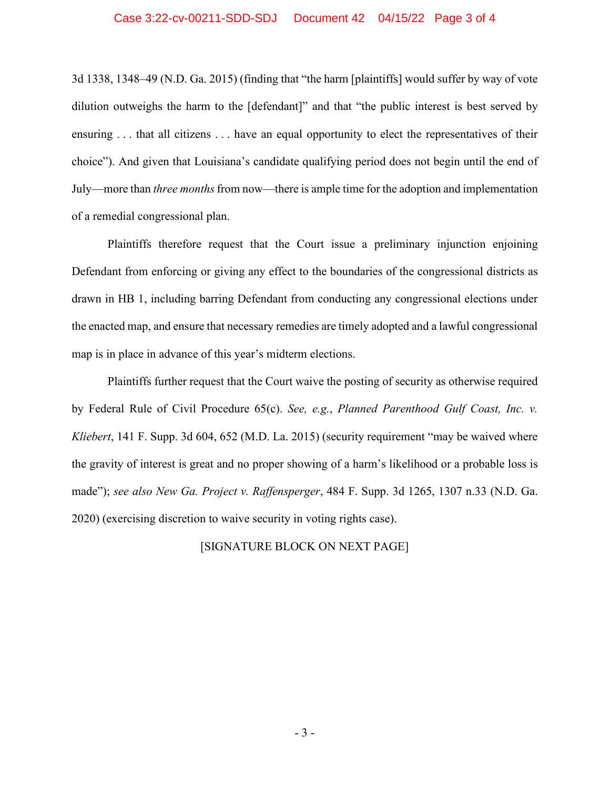#### Case 3:22-cv-00211-SDD-SDJ Document 42 04/15/22 Page 3 of 4

3d 1338, 1348–49 (N.D. Ga. 2015) (finding that "the harm [plaintiffs] would suffer by way of vote dilution outweighs the harm to the [defendant]" and that "the public interest is best served by ensuring . . . that all citizens . . . have an equal opportunity to elect the representatives of their choice"). And given that Louisiana's candidate qualifying period does not begin until the end of July—more than *three months*from now—there is ample time for the adoption and implementation of a remedial congressional plan.

Plaintiffs therefore request that the Court issue a preliminary injunction enjoining Defendant from enforcing or giving any effect to the boundaries of the congressional districts as drawn in HB 1, including barring Defendant from conducting any congressional elections under the enacted map, and ensure that necessary remedies are timely adopted and a lawful congressional map is in place in advance of this year's midterm elections.

Plaintiffs further request that the Court waive the posting of security as otherwise required by Federal Rule of Civil Procedure 65(c). *See, e.g.*, *Planned Parenthood Gulf Coast, Inc. v. Kliebert*, 141 F. Supp. 3d 604, 652 (M.D. La. 2015) (security requirement "may be waived where the gravity of interest is great and no proper showing of a harm's likelihood or a probable loss is made"); *see also New Ga. Project v. Raffensperger*, 484 F. Supp. 3d 1265, 1307 n.33 (N.D. Ga. 2020) (exercising discretion to waive security in voting rights case).

#### [SIGNATURE BLOCK ON NEXT PAGE]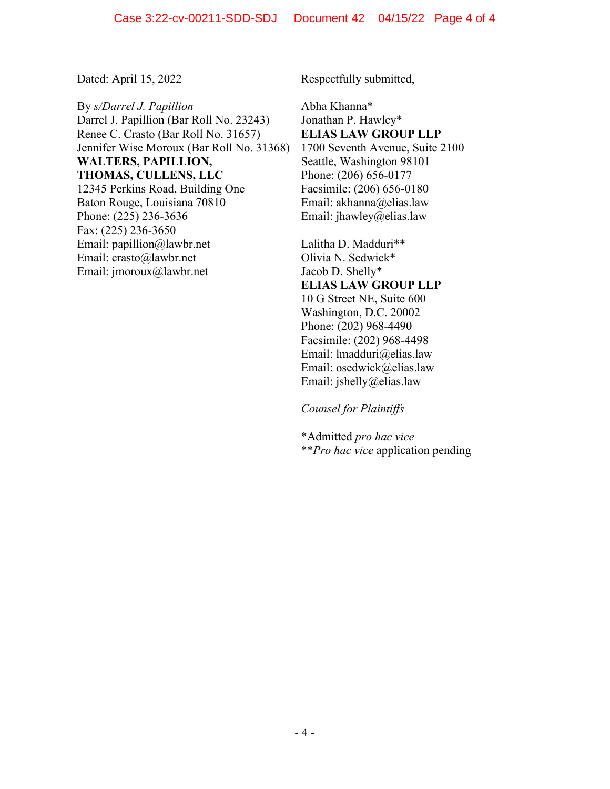By *s/Darrel J. Papillion*  Darrel J. Papillion (Bar Roll No. 23243) Renee C. Crasto (Bar Roll No. 31657) Jennifer Wise Moroux (Bar Roll No. 31368) **WALTERS, PAPILLION, THOMAS, CULLENS, LLC** 12345 Perkins Road, Building One Baton Rouge, Louisiana 70810 Phone: (225) 236-3636 Fax: (225) 236-3650 Email: papillion@lawbr.net Email: crasto@lawbr.net Email: jmoroux@lawbr.net

Dated: April 15, 2022 Respectfully submitted,

Abha Khanna\* Jonathan P. Hawley\* **ELIAS LAW GROUP LLP** 1700 Seventh Avenue, Suite 2100 Seattle, Washington 98101 Phone: (206) 656-0177 Facsimile: (206) 656-0180 Email: akhanna@elias.law Email: jhawley@elias.law

Lalitha D. Madduri\*\* Olivia N. Sedwick\* Jacob D. Shelly\* **ELIAS LAW GROUP LLP** 10 G Street NE, Suite 600 Washington, D.C. 20002 Phone: (202) 968-4490 Facsimile: (202) 968-4498 Email: lmadduri@elias.law Email: osedwick@elias.law Email: jshelly@elias.law

*Counsel for Plaintiffs*

\*Admitted *pro hac vice* \*\**Pro hac vice* application pending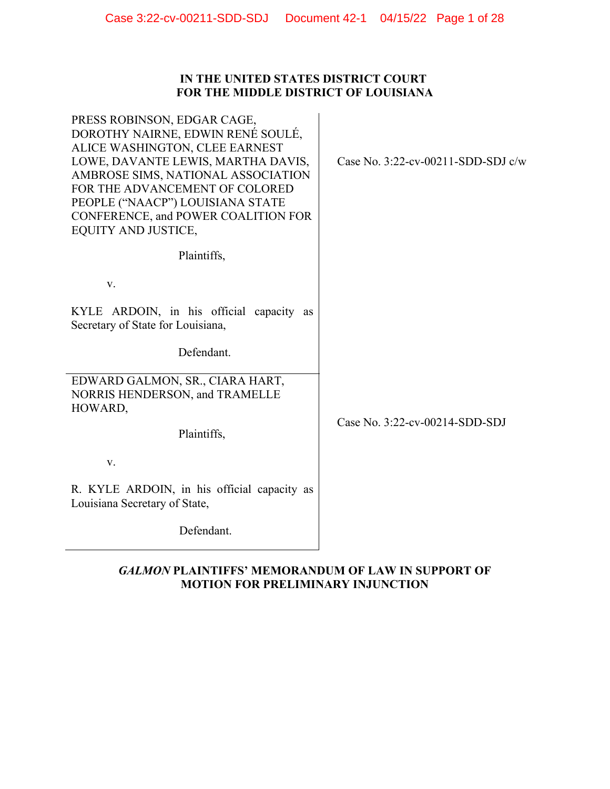# **IN THE UNITED STATES DISTRICT COURT FOR THE MIDDLE DISTRICT OF LOUISIANA**

| PRESS ROBINSON, EDGAR CAGE,<br>DOROTHY NAIRNE, EDWIN RENÉ SOULÉ,<br>ALICE WASHINGTON, CLEE EARNEST<br>LOWE, DAVANTE LEWIS, MARTHA DAVIS,<br>AMBROSE SIMS, NATIONAL ASSOCIATION<br>FOR THE ADVANCEMENT OF COLORED<br>PEOPLE ("NAACP") LOUISIANA STATE<br>CONFERENCE, and POWER COALITION FOR<br>EQUITY AND JUSTICE, | Case No. $3:22$ -cv-00211-SDD-SDJ c/w |
|--------------------------------------------------------------------------------------------------------------------------------------------------------------------------------------------------------------------------------------------------------------------------------------------------------------------|---------------------------------------|
| Plaintiffs,                                                                                                                                                                                                                                                                                                        |                                       |
| V.                                                                                                                                                                                                                                                                                                                 |                                       |
| KYLE ARDOIN, in his official capacity as<br>Secretary of State for Louisiana,                                                                                                                                                                                                                                      |                                       |
| Defendant.                                                                                                                                                                                                                                                                                                         |                                       |
| EDWARD GALMON, SR., CIARA HART,<br>NORRIS HENDERSON, and TRAMELLE<br>HOWARD,                                                                                                                                                                                                                                       | Case No. 3:22-cv-00214-SDD-SDJ        |
| Plaintiffs,                                                                                                                                                                                                                                                                                                        |                                       |
| V.                                                                                                                                                                                                                                                                                                                 |                                       |
| R. KYLE ARDOIN, in his official capacity as<br>Louisiana Secretary of State,                                                                                                                                                                                                                                       |                                       |
| Defendant.                                                                                                                                                                                                                                                                                                         |                                       |

# *GALMON* **PLAINTIFFS' MEMORANDUM OF LAW IN SUPPORT OF MOTION FOR PRELIMINARY INJUNCTION**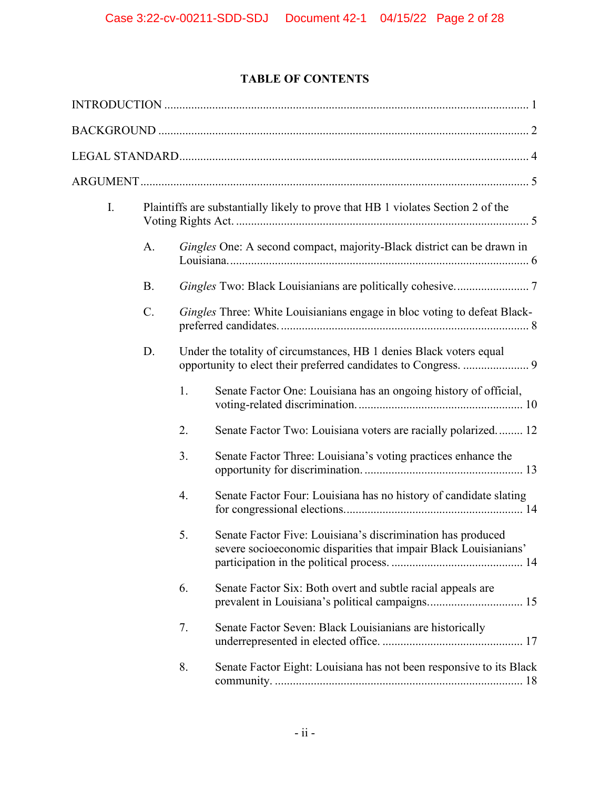# **TABLE OF CONTENTS**

| I. |           | Plaintiffs are substantially likely to prove that HB 1 violates Section 2 of the |                                                                                                                                 |  |  |
|----|-----------|----------------------------------------------------------------------------------|---------------------------------------------------------------------------------------------------------------------------------|--|--|
|    | A.        |                                                                                  | Gingles One: A second compact, majority-Black district can be drawn in                                                          |  |  |
|    | <b>B.</b> |                                                                                  |                                                                                                                                 |  |  |
|    | $C$ .     |                                                                                  | Gingles Three: White Louisianians engage in bloc voting to defeat Black-                                                        |  |  |
|    | D.        |                                                                                  | Under the totality of circumstances, HB 1 denies Black voters equal                                                             |  |  |
|    |           | 1.                                                                               | Senate Factor One: Louisiana has an ongoing history of official,                                                                |  |  |
|    |           | 2.                                                                               | Senate Factor Two: Louisiana voters are racially polarized 12                                                                   |  |  |
|    |           | 3.                                                                               | Senate Factor Three: Louisiana's voting practices enhance the                                                                   |  |  |
|    |           | 4.                                                                               | Senate Factor Four: Louisiana has no history of candidate slating                                                               |  |  |
|    |           | 5.                                                                               | Senate Factor Five: Louisiana's discrimination has produced<br>severe socioeconomic disparities that impair Black Louisianians' |  |  |
|    |           | 6.                                                                               | Senate Factor Six: Both overt and subtle racial appeals are                                                                     |  |  |
|    |           | 7.                                                                               | Senate Factor Seven: Black Louisianians are historically                                                                        |  |  |
|    |           | 8.                                                                               | Senate Factor Eight: Louisiana has not been responsive to its Black                                                             |  |  |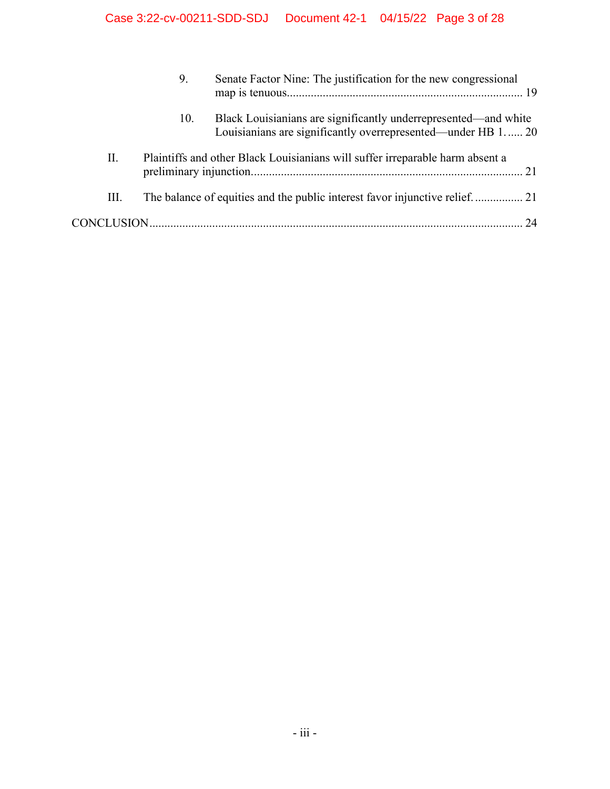|    | 9.  | Senate Factor Nine: The justification for the new congressional                                                                 |  |  |
|----|-----|---------------------------------------------------------------------------------------------------------------------------------|--|--|
|    | 10. | Black Louisianians are significantly underrepresented—and white<br>Louisianians are significantly overrepresented—under HB 1 20 |  |  |
| П. |     | Plaintiffs and other Black Louisianians will suffer irreparable harm absent a                                                   |  |  |
| Ш. |     |                                                                                                                                 |  |  |
|    |     | 24                                                                                                                              |  |  |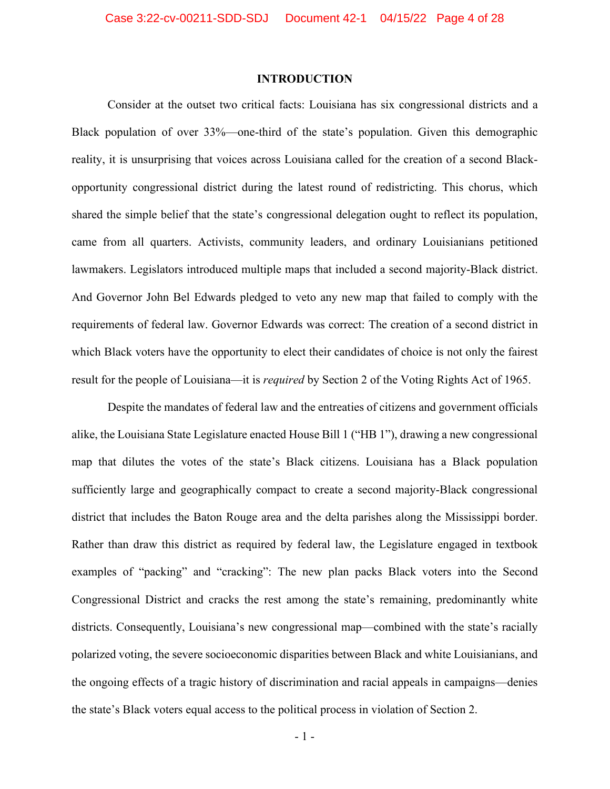### **INTRODUCTION**

<span id="page-8-0"></span>Consider at the outset two critical facts: Louisiana has six congressional districts and a Black population of over 33%—one-third of the state's population. Given this demographic reality, it is unsurprising that voices across Louisiana called for the creation of a second Blackopportunity congressional district during the latest round of redistricting. This chorus, which shared the simple belief that the state's congressional delegation ought to reflect its population, came from all quarters. Activists, community leaders, and ordinary Louisianians petitioned lawmakers. Legislators introduced multiple maps that included a second majority-Black district. And Governor John Bel Edwards pledged to veto any new map that failed to comply with the requirements of federal law. Governor Edwards was correct: The creation of a second district in which Black voters have the opportunity to elect their candidates of choice is not only the fairest result for the people of Louisiana—it is *required* by Section 2 of the Voting Rights Act of 1965.

Despite the mandates of federal law and the entreaties of citizens and government officials alike, the Louisiana State Legislature enacted House Bill 1 ("HB 1"), drawing a new congressional map that dilutes the votes of the state's Black citizens. Louisiana has a Black population sufficiently large and geographically compact to create a second majority-Black congressional district that includes the Baton Rouge area and the delta parishes along the Mississippi border. Rather than draw this district as required by federal law, the Legislature engaged in textbook examples of "packing" and "cracking": The new plan packs Black voters into the Second Congressional District and cracks the rest among the state's remaining, predominantly white districts. Consequently, Louisiana's new congressional map—combined with the state's racially polarized voting, the severe socioeconomic disparities between Black and white Louisianians, and the ongoing effects of a tragic history of discrimination and racial appeals in campaigns—denies the state's Black voters equal access to the political process in violation of Section 2.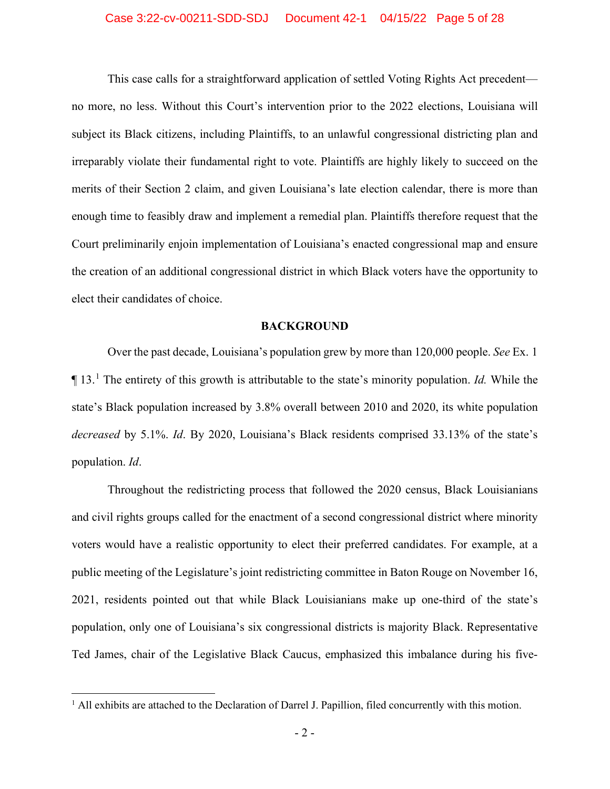#### Case 3:22-cv-00211-SDD-SDJ Document 42-1 04/15/22 Page 5 of 28

This case calls for a straightforward application of settled Voting Rights Act precedent no more, no less. Without this Court's intervention prior to the 2022 elections, Louisiana will subject its Black citizens, including Plaintiffs, to an unlawful congressional districting plan and irreparably violate their fundamental right to vote. Plaintiffs are highly likely to succeed on the merits of their Section 2 claim, and given Louisiana's late election calendar, there is more than enough time to feasibly draw and implement a remedial plan. Plaintiffs therefore request that the Court preliminarily enjoin implementation of Louisiana's enacted congressional map and ensure the creation of an additional congressional district in which Black voters have the opportunity to elect their candidates of choice.

#### **BACKGROUND**

<span id="page-9-0"></span>Over the past decade, Louisiana's population grew by more than 120,000 people. *See* Ex. 1 ¶ 13. [1](#page-9-1) The entirety of this growth is attributable to the state's minority population. *Id.* While the state's Black population increased by 3.8% overall between 2010 and 2020, its white population *decreased* by 5.1%. *Id*. By 2020, Louisiana's Black residents comprised 33.13% of the state's population. *Id*.

Throughout the redistricting process that followed the 2020 census, Black Louisianians and civil rights groups called for the enactment of a second congressional district where minority voters would have a realistic opportunity to elect their preferred candidates. For example, at a public meeting of the Legislature's joint redistricting committee in Baton Rouge on November 16, 2021, residents pointed out that while Black Louisianians make up one-third of the state's population, only one of Louisiana's six congressional districts is majority Black. Representative Ted James, chair of the Legislative Black Caucus, emphasized this imbalance during his five-

<span id="page-9-1"></span> $<sup>1</sup>$  All exhibits are attached to the Declaration of Darrel J. Papillion, filed concurrently with this motion.</sup>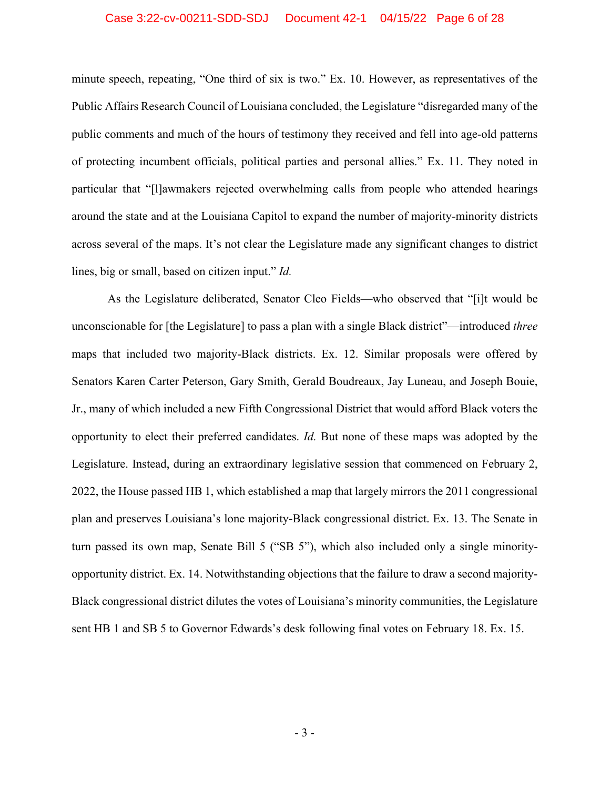#### Case 3:22-cv-00211-SDD-SDJ Document 42-1 04/15/22 Page 6 of 28

minute speech, repeating, "One third of six is two." Ex. 10. However, as representatives of the Public Affairs Research Council of Louisiana concluded, the Legislature "disregarded many of the public comments and much of the hours of testimony they received and fell into age-old patterns of protecting incumbent officials, political parties and personal allies." Ex. 11. They noted in particular that "[l]awmakers rejected overwhelming calls from people who attended hearings around the state and at the Louisiana Capitol to expand the number of majority-minority districts across several of the maps. It's not clear the Legislature made any significant changes to district lines, big or small, based on citizen input." *Id.*

As the Legislature deliberated, Senator Cleo Fields—who observed that "[i]t would be unconscionable for [the Legislature] to pass a plan with a single Black district"—introduced *three* maps that included two majority-Black districts. Ex. 12. Similar proposals were offered by Senators Karen Carter Peterson, Gary Smith, Gerald Boudreaux, Jay Luneau, and Joseph Bouie, Jr., many of which included a new Fifth Congressional District that would afford Black voters the opportunity to elect their preferred candidates. *Id.* But none of these maps was adopted by the Legislature. Instead, during an extraordinary legislative session that commenced on February 2, 2022, the House passed HB 1, which established a map that largely mirrors the 2011 congressional plan and preserves Louisiana's lone majority-Black congressional district. Ex. 13. The Senate in turn passed its own map, Senate Bill 5 ("SB 5"), which also included only a single minorityopportunity district. Ex. 14. Notwithstanding objections that the failure to draw a second majority-Black congressional district dilutes the votes of Louisiana's minority communities, the Legislature sent HB 1 and SB 5 to Governor Edwards's desk following final votes on February 18. Ex. 15.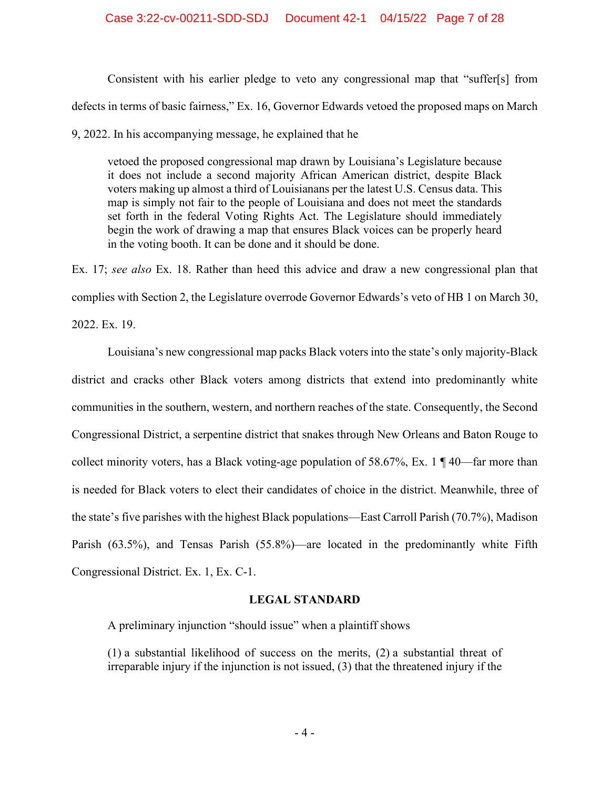Consistent with his earlier pledge to veto any congressional map that "suffer[s] from defects in terms of basic fairness," Ex. 16, Governor Edwards vetoed the proposed maps on March

9, 2022. In his accompanying message, he explained that he

vetoed the proposed congressional map drawn by Louisiana's Legislature because it does not include a second majority African American district, despite Black voters making up almost a third of Louisianans per the latest U.S. Census data. This map is simply not fair to the people of Louisiana and does not meet the standards set forth in the federal Voting Rights Act. The Legislature should immediately begin the work of drawing a map that ensures Black voices can be properly heard in the voting booth. It can be done and it should be done.

Ex. 17; *see also* Ex. 18. Rather than heed this advice and draw a new congressional plan that complies with Section 2, the Legislature overrode Governor Edwards's veto of HB 1 on March 30, 2022. Ex. 19.

Louisiana's new congressional map packs Black voters into the state's only majority-Black district and cracks other Black voters among districts that extend into predominantly white communities in the southern, western, and northern reaches of the state. Consequently, the Second Congressional District, a serpentine district that snakes through New Orleans and Baton Rouge to collect minority voters, has a Black voting-age population of 58.67%, Ex. 1 ¶ 40—far more than is needed for Black voters to elect their candidates of choice in the district. Meanwhile, three of the state's five parishes with the highest Black populations—East Carroll Parish (70.7%), Madison Parish (63.5%), and Tensas Parish (55.8%)—are located in the predominantly white Fifth Congressional District. Ex. 1, Ex. C-1.

# **LEGAL STANDARD**

<span id="page-11-0"></span>A preliminary injunction "should issue" when a plaintiff shows

(1) a substantial likelihood of success on the merits, (2) a substantial threat of irreparable injury if the injunction is not issued, (3) that the threatened injury if the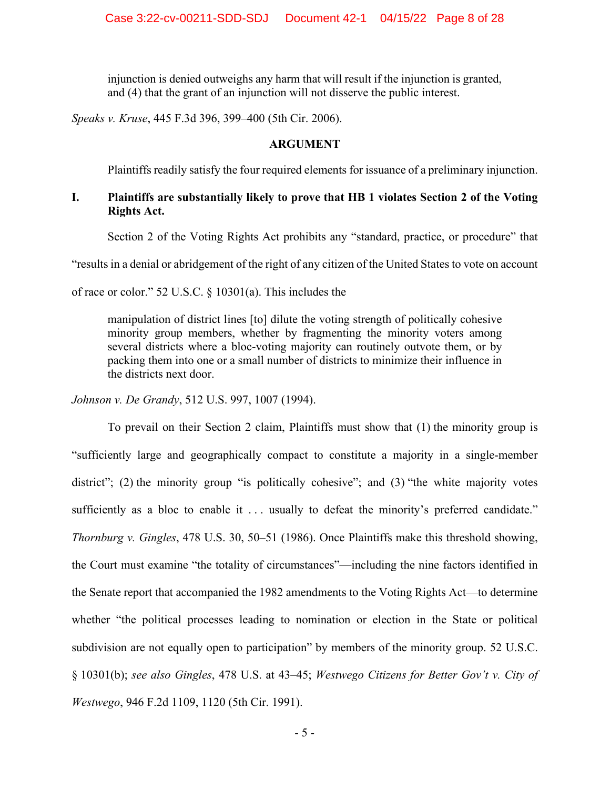injunction is denied outweighs any harm that will result if the injunction is granted, and (4) that the grant of an injunction will not disserve the public interest.

<span id="page-12-0"></span>*Speaks v. Kruse*, 445 F.3d 396, 399–400 (5th Cir. 2006).

### **ARGUMENT**

Plaintiffs readily satisfy the four required elements for issuance of a preliminary injunction.

# <span id="page-12-1"></span>**I. Plaintiffs are substantially likely to prove that HB 1 violates Section 2 of the Voting Rights Act.**

Section 2 of the Voting Rights Act prohibits any "standard, practice, or procedure" that

"results in a denial or abridgement of the right of any citizen of the United States to vote on account

of race or color." 52 U.S.C. § 10301(a). This includes the

manipulation of district lines [to] dilute the voting strength of politically cohesive minority group members, whether by fragmenting the minority voters among several districts where a bloc-voting majority can routinely outvote them, or by packing them into one or a small number of districts to minimize their influence in the districts next door.

*Johnson v. De Grandy*, 512 U.S. 997, 1007 (1994).

To prevail on their Section 2 claim, Plaintiffs must show that (1) the minority group is "sufficiently large and geographically compact to constitute a majority in a single-member district"; (2) the minority group "is politically cohesive"; and (3) "the white majority votes sufficiently as a bloc to enable it ... usually to defeat the minority's preferred candidate." *Thornburg v. Gingles*, 478 U.S. 30, 50–51 (1986). Once Plaintiffs make this threshold showing, the Court must examine "the totality of circumstances"—including the nine factors identified in the Senate report that accompanied the 1982 amendments to the Voting Rights Act—to determine whether "the political processes leading to nomination or election in the State or political subdivision are not equally open to participation" by members of the minority group. 52 U.S.C. § 10301(b); *see also Gingles*, 478 U.S. at 43–45; *Westwego Citizens for Better Gov't v. City of Westwego*, 946 F.2d 1109, 1120 (5th Cir. 1991).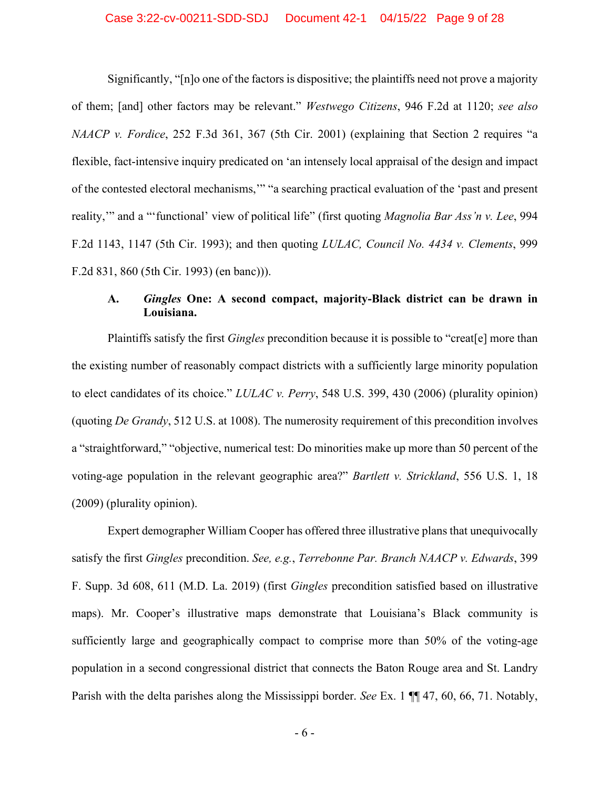#### Case 3:22-cv-00211-SDD-SDJ Document 42-1 04/15/22 Page 9 of 28

Significantly, "[n]o one of the factors is dispositive; the plaintiffs need not prove a majority of them; [and] other factors may be relevant." *Westwego Citizens*, 946 F.2d at 1120; *see also NAACP v. Fordice*, 252 F.3d 361, 367 (5th Cir. 2001) (explaining that Section 2 requires "a flexible, fact-intensive inquiry predicated on 'an intensely local appraisal of the design and impact of the contested electoral mechanisms,'" "a searching practical evaluation of the 'past and present reality,'" and a "'functional' view of political life" (first quoting *Magnolia Bar Ass'n v. Lee*, 994 F.2d 1143, 1147 (5th Cir. 1993); and then quoting *LULAC, Council No. 4434 v. Clements*, 999 F.2d 831, 860 (5th Cir. 1993) (en banc))).

# <span id="page-13-0"></span>**A.** *Gingles* **One: A second compact, majority-Black district can be drawn in Louisiana.**

Plaintiffs satisfy the first *Gingles* precondition because it is possible to "creat[e] more than the existing number of reasonably compact districts with a sufficiently large minority population to elect candidates of its choice." *LULAC v. Perry*, 548 U.S. 399, 430 (2006) (plurality opinion) (quoting *De Grandy*, 512 U.S. at 1008). The numerosity requirement of this precondition involves a "straightforward," "objective, numerical test: Do minorities make up more than 50 percent of the voting-age population in the relevant geographic area?" *Bartlett v. Strickland*, 556 U.S. 1, 18 (2009) (plurality opinion).

Expert demographer William Cooper has offered three illustrative plans that unequivocally satisfy the first *Gingles* precondition. *See, e.g.*, *Terrebonne Par. Branch NAACP v. Edwards*, 399 F. Supp. 3d 608, 611 (M.D. La. 2019) (first *Gingles* precondition satisfied based on illustrative maps). Mr. Cooper's illustrative maps demonstrate that Louisiana's Black community is sufficiently large and geographically compact to comprise more than 50% of the voting-age population in a second congressional district that connects the Baton Rouge area and St. Landry Parish with the delta parishes along the Mississippi border. *See* Ex. 1 ¶¶ 47, 60, 66, 71. Notably,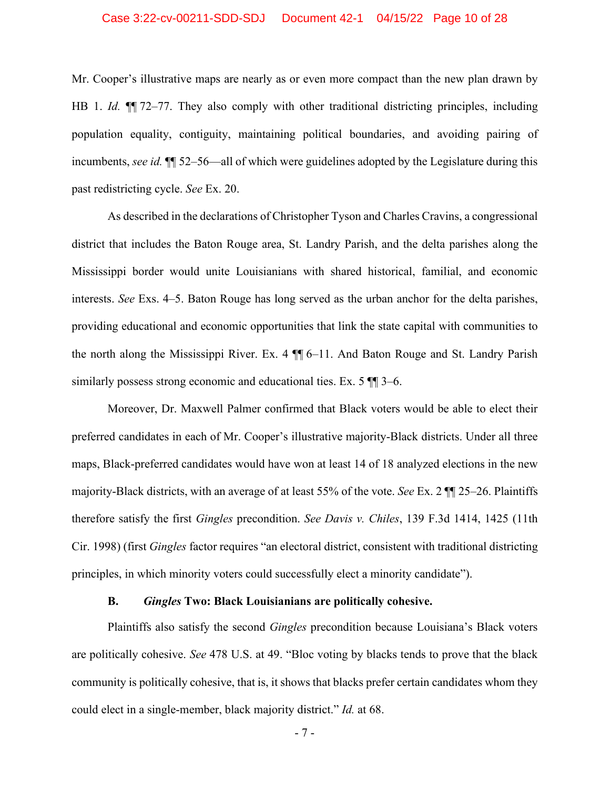#### Case 3:22-cv-00211-SDD-SDJ Document 42-1 04/15/22 Page 10 of 28

Mr. Cooper's illustrative maps are nearly as or even more compact than the new plan drawn by HB 1. *Id.*  $\P$  72–77. They also comply with other traditional districting principles, including population equality, contiguity, maintaining political boundaries, and avoiding pairing of incumbents, *see id.* ¶¶ 52–56—all of which were guidelines adopted by the Legislature during this past redistricting cycle. *See* Ex. 20.

As described in the declarations of Christopher Tyson and Charles Cravins, a congressional district that includes the Baton Rouge area, St. Landry Parish, and the delta parishes along the Mississippi border would unite Louisianians with shared historical, familial, and economic interests. *See* Exs. 4–5. Baton Rouge has long served as the urban anchor for the delta parishes, providing educational and economic opportunities that link the state capital with communities to the north along the Mississippi River. Ex. 4 ¶¶ 6–11. And Baton Rouge and St. Landry Parish similarly possess strong economic and educational ties. Ex. 5  $\P$  3–6.

Moreover, Dr. Maxwell Palmer confirmed that Black voters would be able to elect their preferred candidates in each of Mr. Cooper's illustrative majority-Black districts. Under all three maps, Black-preferred candidates would have won at least 14 of 18 analyzed elections in the new majority-Black districts, with an average of at least 55% of the vote. *See* Ex. 2 ¶¶ 25–26. Plaintiffs therefore satisfy the first *Gingles* precondition. *See Davis v. Chiles*, 139 F.3d 1414, 1425 (11th Cir. 1998) (first *Gingles* factor requires "an electoral district, consistent with traditional districting principles, in which minority voters could successfully elect a minority candidate").

#### **B.** *Gingles* **Two: Black Louisianians are politically cohesive.**

<span id="page-14-0"></span>Plaintiffs also satisfy the second *Gingles* precondition because Louisiana's Black voters are politically cohesive. *See* 478 U.S. at 49. "Bloc voting by blacks tends to prove that the black community is politically cohesive, that is, it shows that blacks prefer certain candidates whom they could elect in a single-member, black majority district." *Id.* at 68.

- 7 -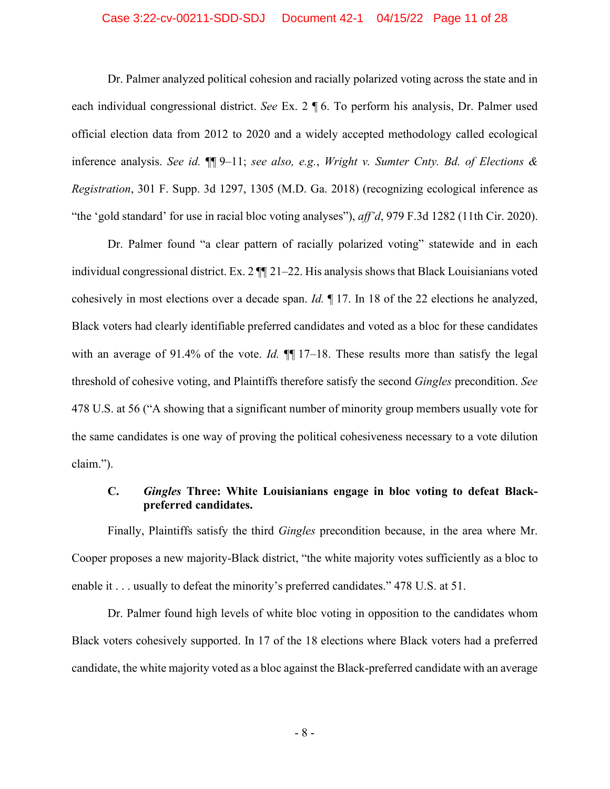#### Case 3:22-cv-00211-SDD-SDJ Document 42-1 04/15/22 Page 11 of 28

Dr. Palmer analyzed political cohesion and racially polarized voting across the state and in each individual congressional district. *See* Ex. 2 ¶ 6. To perform his analysis, Dr. Palmer used official election data from 2012 to 2020 and a widely accepted methodology called ecological inference analysis. *See id.* ¶¶ 9–11; *see also, e.g.*, *Wright v. Sumter Cnty. Bd. of Elections & Registration*, 301 F. Supp. 3d 1297, 1305 (M.D. Ga. 2018) (recognizing ecological inference as "the 'gold standard' for use in racial bloc voting analyses"), *aff'd*, 979 F.3d 1282 (11th Cir. 2020).

Dr. Palmer found "a clear pattern of racially polarized voting" statewide and in each individual congressional district. Ex. 2 ¶¶ 21–22. His analysis shows that Black Louisianians voted cohesively in most elections over a decade span. *Id.* ¶ 17. In 18 of the 22 elections he analyzed, Black voters had clearly identifiable preferred candidates and voted as a bloc for these candidates with an average of 91.4% of the vote. *Id.*  $\P\P$  17–18. These results more than satisfy the legal threshold of cohesive voting, and Plaintiffs therefore satisfy the second *Gingles* precondition. *See* 478 U.S. at 56 ("A showing that a significant number of minority group members usually vote for the same candidates is one way of proving the political cohesiveness necessary to a vote dilution claim.").

# <span id="page-15-0"></span>**C.** *Gingles* **Three: White Louisianians engage in bloc voting to defeat Blackpreferred candidates.**

Finally, Plaintiffs satisfy the third *Gingles* precondition because, in the area where Mr. Cooper proposes a new majority-Black district, "the white majority votes sufficiently as a bloc to enable it . . . usually to defeat the minority's preferred candidates." 478 U.S. at 51.

Dr. Palmer found high levels of white bloc voting in opposition to the candidates whom Black voters cohesively supported. In 17 of the 18 elections where Black voters had a preferred candidate, the white majority voted as a bloc against the Black-preferred candidate with an average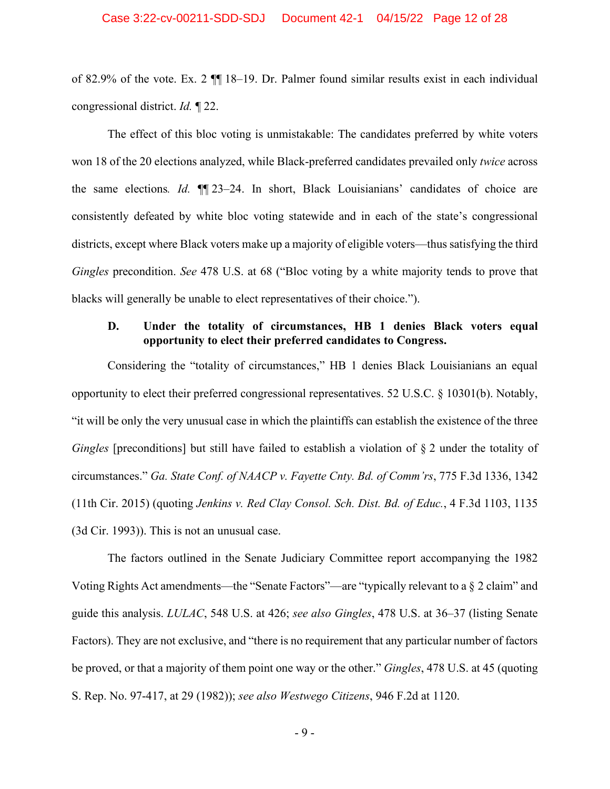#### Case 3:22-cv-00211-SDD-SDJ Document 42-1 04/15/22 Page 12 of 28

of 82.9% of the vote. Ex. 2 ¶¶ 18–19. Dr. Palmer found similar results exist in each individual congressional district. *Id.* ¶ 22.

The effect of this bloc voting is unmistakable: The candidates preferred by white voters won 18 of the 20 elections analyzed, while Black-preferred candidates prevailed only *twice* across the same elections*. Id.* ¶¶ 23–24. In short, Black Louisianians' candidates of choice are consistently defeated by white bloc voting statewide and in each of the state's congressional districts, except where Black voters make up a majority of eligible voters—thus satisfying the third *Gingles* precondition. *See* 478 U.S. at 68 ("Bloc voting by a white majority tends to prove that blacks will generally be unable to elect representatives of their choice.").

### <span id="page-16-0"></span>**D. Under the totality of circumstances, HB 1 denies Black voters equal opportunity to elect their preferred candidates to Congress.**

Considering the "totality of circumstances," HB 1 denies Black Louisianians an equal opportunity to elect their preferred congressional representatives. 52 U.S.C. § 10301(b). Notably, "it will be only the very unusual case in which the plaintiffs can establish the existence of the three *Gingles* [preconditions] but still have failed to establish a violation of § 2 under the totality of circumstances." *Ga. State Conf. of NAACP v. Fayette Cnty. Bd. of Comm'rs*, 775 F.3d 1336, 1342 (11th Cir. 2015) (quoting *Jenkins v. Red Clay Consol. Sch. Dist. Bd. of Educ.*, 4 F.3d 1103, 1135 (3d Cir. 1993)). This is not an unusual case.

The factors outlined in the Senate Judiciary Committee report accompanying the 1982 Voting Rights Act amendments—the "Senate Factors"—are "typically relevant to a § 2 claim" and guide this analysis. *LULAC*, 548 U.S. at 426; *see also Gingles*, 478 U.S. at 36–37 (listing Senate Factors). They are not exclusive, and "there is no requirement that any particular number of factors be proved, or that a majority of them point one way or the other." *Gingles*, 478 U.S. at 45 (quoting S. Rep. No. 97-417, at 29 (1982)); *see also Westwego Citizens*, 946 F.2d at 1120.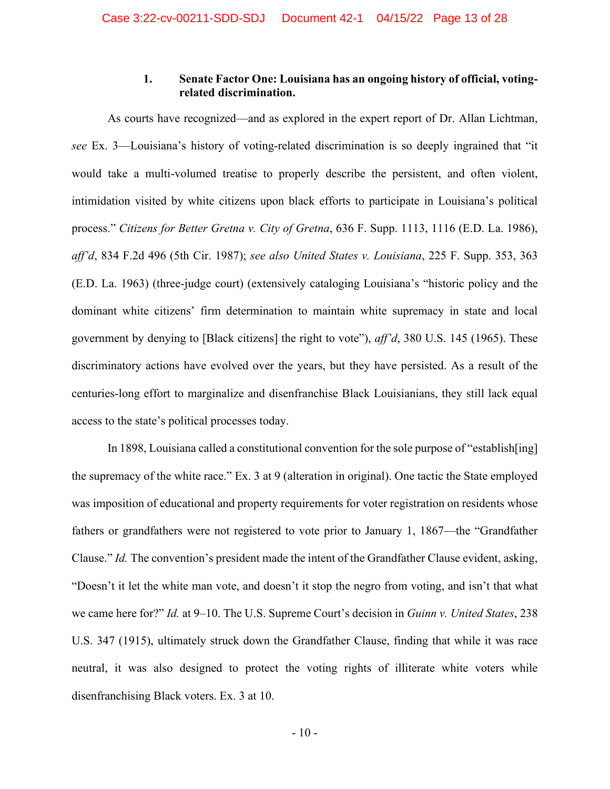# **1. Senate Factor One: Louisiana has an ongoing history of official, votingrelated discrimination.**

<span id="page-17-0"></span>As courts have recognized—and as explored in the expert report of Dr. Allan Lichtman, *see* Ex. 3—Louisiana's history of voting-related discrimination is so deeply ingrained that "it would take a multi-volumed treatise to properly describe the persistent, and often violent, intimidation visited by white citizens upon black efforts to participate in Louisiana's political process." *Citizens for Better Gretna v. City of Gretna*, 636 F. Supp. 1113, 1116 (E.D. La. 1986), *aff'd*, 834 F.2d 496 (5th Cir. 1987); *see also [United States v. Louisiana](https://1.next.westlaw.com/Link/Document/FullText?findType=Y&serNum=1963113172&pubNum=0000345&originatingDoc=Iba9f6476565411d997e0acd5cbb90d3f&refType=RP&originationContext=document&transitionType=DocumentItem&ppcid=22cf383e05354533b96694c90650e188&contextData=(sc.Keycite))*, 225 F. Supp. 353, 363 (E.D. La. [1963\)](https://1.next.westlaw.com/Link/Document/FullText?findType=Y&serNum=1963113172&pubNum=0000345&originatingDoc=Iba9f6476565411d997e0acd5cbb90d3f&refType=RP&originationContext=document&transitionType=DocumentItem&ppcid=22cf383e05354533b96694c90650e188&contextData=(sc.Keycite)) (three-judge court) (extensively cataloging Louisiana's "historic policy and the dominant white citizens' firm determination to maintain white supremacy in state and local government by denying to [Black citizens] the right to vote"), *aff'd*, [380 U.S. 145 \(1965\).](https://1.next.westlaw.com/Link/Document/FullText?findType=Y&serNum=1965125034&pubNum=0000708&originatingDoc=Iba9f6476565411d997e0acd5cbb90d3f&refType=RP&originationContext=document&transitionType=DocumentItem&ppcid=22cf383e05354533b96694c90650e188&contextData=(sc.Keycite)) These discriminatory actions have evolved over the years, but they have persisted. As a result of the centuries-long effort to marginalize and disenfranchise Black Louisianians, they still lack equal access to the state's political processes today.

In 1898, Louisiana called a constitutional convention for the sole purpose of "establish[ing] the supremacy of the white race." Ex. 3 at 9 (alteration in original). One tactic the State employed was imposition of educational and property requirements for voter registration on residents whose fathers or grandfathers were not registered to vote prior to January 1, 1867—the "Grandfather Clause." *Id.* The convention's president made the intent of the Grandfather Clause evident, asking, "Doesn't it let the white man vote, and doesn't it stop the negro from voting, and isn't that what we came here for?" *Id.* at 9–10. The U.S. Supreme Court's decision in *Guinn v. United States*, 238 U.S. 347 (1915), ultimately struck down the Grandfather Clause, finding that while it was race neutral, it was also designed to protect the voting rights of illiterate white voters while disenfranchising Black voters. Ex. 3 at 10.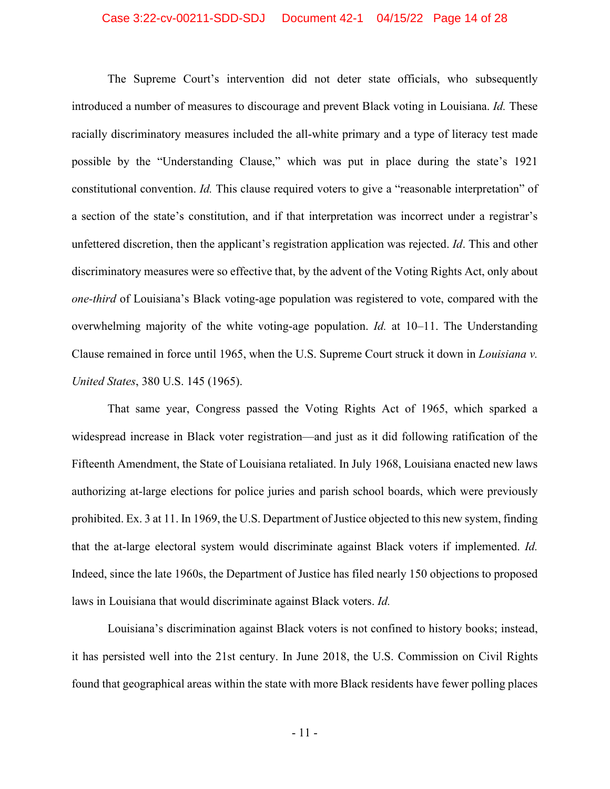#### Case 3:22-cv-00211-SDD-SDJ Document 42-1 04/15/22 Page 14 of 28

The Supreme Court's intervention did not deter state officials, who subsequently introduced a number of measures to discourage and prevent Black voting in Louisiana. *Id.* These racially discriminatory measures included the all-white primary and a type of literacy test made possible by the "Understanding Clause," which was put in place during the state's 1921 constitutional convention. *Id.* This clause required voters to give a "reasonable interpretation" of a section of the state's constitution, and if that interpretation was incorrect under a registrar's unfettered discretion, then the applicant's registration application was rejected. *Id*. This and other discriminatory measures were so effective that, by the advent of the Voting Rights Act, only about *one-third* of Louisiana's Black voting-age population was registered to vote, compared with the overwhelming majority of the white voting-age population. *Id.* at 10–11. The Understanding Clause remained in force until 1965, when the U.S. Supreme Court struck it down in *Louisiana v. United States*, 380 U.S. 145 (1965).

That same year, Congress passed the Voting Rights Act of 1965, which sparked a widespread increase in Black voter registration—and just as it did following ratification of the Fifteenth Amendment, the State of Louisiana retaliated. In July 1968, Louisiana enacted new laws authorizing at-large elections for police juries and parish school boards, which were previously prohibited. Ex. 3 at 11. In 1969, the U.S. Department of Justice objected to this new system, finding that the at-large electoral system would discriminate against Black voters if implemented. *Id.* Indeed, since the late 1960s, the Department of Justice has filed nearly 150 objections to proposed laws in Louisiana that would discriminate against Black voters. *Id.*

Louisiana's discrimination against Black voters is not confined to history books; instead, it has persisted well into the 21st century. In June 2018, the U.S. Commission on Civil Rights found that geographical areas within the state with more Black residents have fewer polling places

- 11 -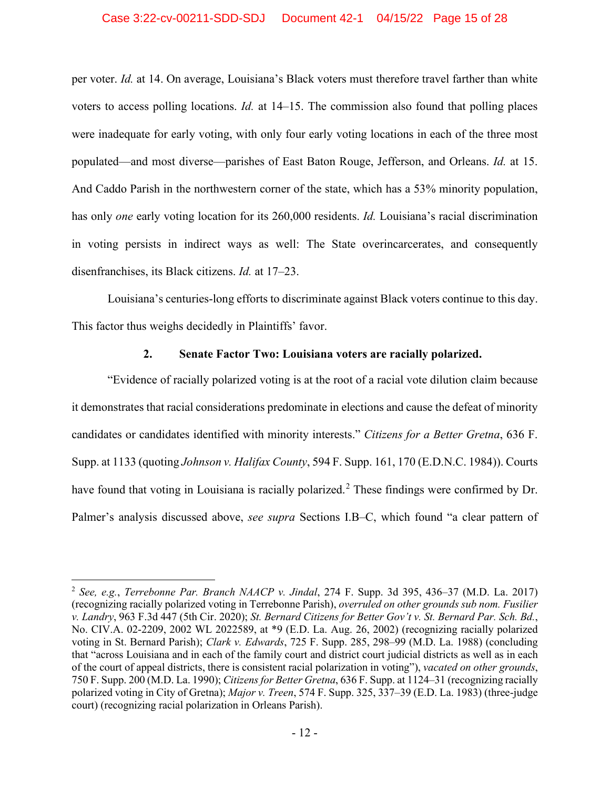#### Case 3:22-cv-00211-SDD-SDJ Document 42-1 04/15/22 Page 15 of 28

per voter. *Id.* at 14. On average, Louisiana's Black voters must therefore travel farther than white voters to access polling locations. *Id.* at 14–15. The commission also found that polling places were inadequate for early voting, with only four early voting locations in each of the three most populated—and most diverse—parishes of East Baton Rouge, Jefferson, and Orleans. *Id.* at 15. And Caddo Parish in the northwestern corner of the state, which has a 53% minority population, has only *one* early voting location for its 260,000 residents. *Id.* Louisiana's racial discrimination in voting persists in indirect ways as well: The State overincarcerates, and consequently disenfranchises, its Black citizens. *Id.* at 17–23.

Louisiana's centuries-long efforts to discriminate against Black voters continue to this day. This factor thus weighs decidedly in Plaintiffs' favor.

### **2. Senate Factor Two: Louisiana voters are racially polarized.**

<span id="page-19-0"></span>"Evidence of racially polarized voting is at the root of a racial vote dilution claim because it demonstrates that racial considerations predominate in elections and cause the defeat of minority candidates or candidates identified with minority interests." *Citizens for a Better Gretna*, 636 F. Supp. at 1133 (quoting *Johnson v. Halifax County*, 594 F. Supp. 161, 170 (E.D.N.C. 1984)). Courts have found that voting in Louisiana is racially polarized.<sup>[2](#page-19-1)</sup> These findings were confirmed by Dr. Palmer's analysis discussed above, *see supra* Sections I.B–C, which found "a clear pattern of

<span id="page-19-1"></span><sup>2</sup> *See, e.g.*, *Terrebonne Par. Branch NAACP v. Jindal*, 274 F. Supp. 3d 395, 436–37 (M.D. La. 2017) (recognizing racially polarized voting in Terrebonne Parish), *overruled on other grounds sub nom. Fusilier v. Landry*, 963 F.3d 447 (5th Cir. 2020); *St. Bernard Citizens for Better Gov't v. St. Bernard Par. Sch. Bd.*, No. CIV.A. 02-2209, 2002 WL 2022589, at \*9 (E.D. La. Aug. 26, 2002) (recognizing racially polarized voting in St. Bernard Parish); *Clark v. Edwards*, 725 F. Supp. 285, 298–99 (M.D. La. 1988) (concluding that "across Louisiana and in each of the family court and district court judicial districts as well as in each of the court of appeal districts, there is consistent racial polarization in voting"), *vacated on other grounds*, 750 F. Supp. 200 (M.D. La. 1990); *Citizens for Better Gretna*, 636 F. Supp. at 1124–31 (recognizing racially polarized voting in City of Gretna); *Major v. Treen*, 574 F. Supp. 325, 337–39 (E.D. La. 1983) (three-judge court) (recognizing racial polarization in Orleans Parish).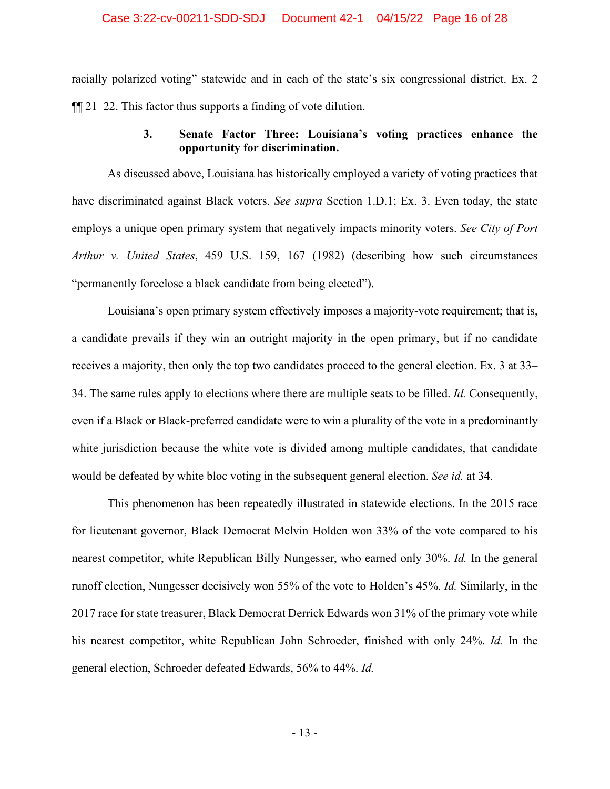#### Case 3:22-cv-00211-SDD-SDJ Document 42-1 04/15/22 Page 16 of 28

racially polarized voting" statewide and in each of the state's six congressional district. Ex. 2 ¶¶ 21–22. This factor thus supports a finding of vote dilution.

### **3. Senate Factor Three: Louisiana's voting practices enhance the opportunity for discrimination.**

<span id="page-20-0"></span>As discussed above, Louisiana has historically employed a variety of voting practices that have discriminated against Black voters. *See supra* Section 1.D.1; Ex. 3. Even today, the state employs a unique open primary system that negatively impacts minority voters. *See City of Port Arthur v. United States*, 459 U.S. 159, 167 (1982) (describing how such circumstances "permanently foreclose a black candidate from being elected").

Louisiana's open primary system effectively imposes a majority-vote requirement; that is, a candidate prevails if they win an outright majority in the open primary, but if no candidate receives a majority, then only the top two candidates proceed to the general election. Ex. 3 at 33– 34. The same rules apply to elections where there are multiple seats to be filled. *Id.* Consequently, even if a Black or Black-preferred candidate were to win a plurality of the vote in a predominantly white jurisdiction because the white vote is divided among multiple candidates, that candidate would be defeated by white bloc voting in the subsequent general election. *See id.* at 34.

This phenomenon has been repeatedly illustrated in statewide elections. In the 2015 race for lieutenant governor, Black Democrat Melvin Holden won 33% of the vote compared to his nearest competitor, white Republican Billy Nungesser, who earned only 30%. *Id.* In the general runoff election, Nungesser decisively won 55% of the vote to Holden's 45%. *Id.* Similarly, in the 2017 race for state treasurer, Black Democrat Derrick Edwards won 31% of the primary vote while his nearest competitor, white Republican John Schroeder, finished with only 24%. *Id.* In the general election, Schroeder defeated Edwards, 56% to 44%. *Id.*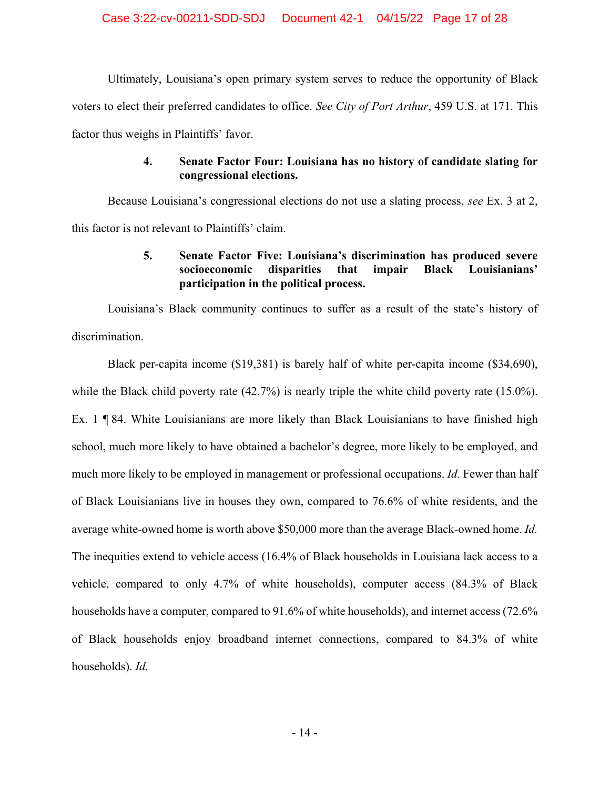Ultimately, Louisiana's open primary system serves to reduce the opportunity of Black voters to elect their preferred candidates to office. *See City of Port Arthur*, 459 U.S. at 171. This factor thus weighs in Plaintiffs' favor.

# **4. Senate Factor Four: Louisiana has no history of candidate slating for congressional elections.**

<span id="page-21-1"></span><span id="page-21-0"></span>Because Louisiana's congressional elections do not use a slating process, *see* Ex. 3 at 2, this factor is not relevant to Plaintiffs' claim.

# **5. Senate Factor Five: Louisiana's discrimination has produced severe socioeconomic disparities that impair Black Louisianians' participation in the political process.**

Louisiana's Black community continues to suffer as a result of the state's history of discrimination.

Black per-capita income (\$19,381) is barely half of white per-capita income (\$34,690), while the Black child poverty rate (42.7%) is nearly triple the white child poverty rate (15.0%). Ex. 1 ¶ 84. White Louisianians are more likely than Black Louisianians to have finished high school, much more likely to have obtained a bachelor's degree, more likely to be employed, and much more likely to be employed in management or professional occupations. *Id.* Fewer than half of Black Louisianians live in houses they own, compared to 76.6% of white residents, and the average white-owned home is worth above \$50,000 more than the average Black-owned home. *Id.* The inequities extend to vehicle access (16.4% of Black households in Louisiana lack access to a vehicle, compared to only 4.7% of white households), computer access (84.3% of Black households have a computer, compared to 91.6% of white households), and internet access (72.6% of Black households enjoy broadband internet connections, compared to 84.3% of white households). *Id.*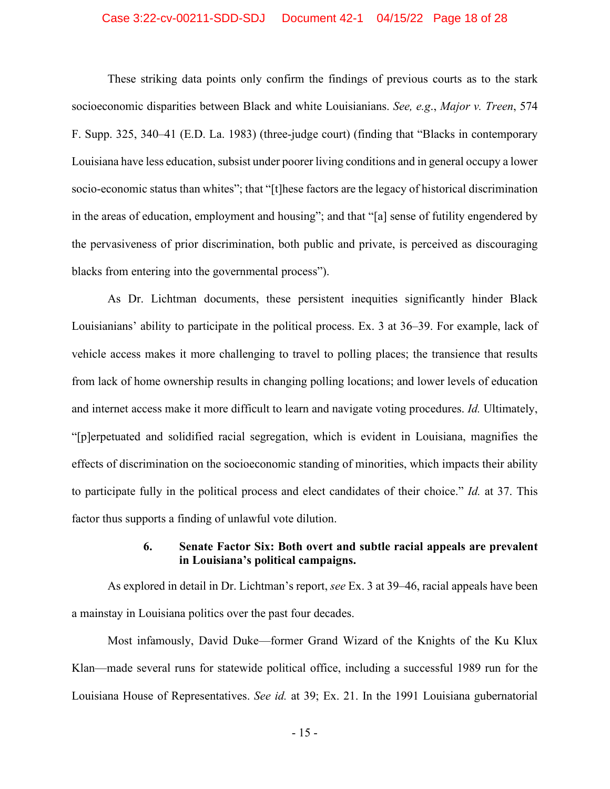#### Case 3:22-cv-00211-SDD-SDJ Document 42-1 04/15/22 Page 18 of 28

These striking data points only confirm the findings of previous courts as to the stark socioeconomic disparities between Black and white Louisianians. *See, e.g*., *[Major v. Treen](https://1.next.westlaw.com/Link/Document/FullText?findType=Y&serNum=1983147128&pubNum=0000345&originatingDoc=Iba9f6476565411d997e0acd5cbb90d3f&refType=RP&originationContext=document&transitionType=DocumentItem&ppcid=22cf383e05354533b96694c90650e188&contextData=(sc.Keycite))*, 574 F. Supp. 325, 340–41 [\(E.D. La. 1983\) \(three-judge court\)](https://1.next.westlaw.com/Link/Document/FullText?findType=Y&serNum=1983147128&pubNum=0000345&originatingDoc=Iba9f6476565411d997e0acd5cbb90d3f&refType=RP&originationContext=document&transitionType=DocumentItem&ppcid=22cf383e05354533b96694c90650e188&contextData=(sc.Keycite)) (finding that "Blacks in contemporary [Louisiana have less education, subsist under poorer living conditions and in general occupy a lower](https://1.next.westlaw.com/Link/Document/FullText?findType=Y&serNum=1983147128&pubNum=0000345&originatingDoc=Iba9f6476565411d997e0acd5cbb90d3f&refType=RP&originationContext=document&transitionType=DocumentItem&ppcid=22cf383e05354533b96694c90650e188&contextData=(sc.Keycite))  [socio-economic status than whites"; that "\[t\]hese factors are the legacy of historical discrimination](https://1.next.westlaw.com/Link/Document/FullText?findType=Y&serNum=1983147128&pubNum=0000345&originatingDoc=Iba9f6476565411d997e0acd5cbb90d3f&refType=RP&originationContext=document&transitionType=DocumentItem&ppcid=22cf383e05354533b96694c90650e188&contextData=(sc.Keycite))  in the areas of education, employment and [housing"; and that "\[a\] sense of futility engendered by](https://1.next.westlaw.com/Link/Document/FullText?findType=Y&serNum=1983147128&pubNum=0000345&originatingDoc=Iba9f6476565411d997e0acd5cbb90d3f&refType=RP&originationContext=document&transitionType=DocumentItem&ppcid=22cf383e05354533b96694c90650e188&contextData=(sc.Keycite))  [the pervasiveness of prior discrimination, both public and private, is perceived as discouraging](https://1.next.westlaw.com/Link/Document/FullText?findType=Y&serNum=1983147128&pubNum=0000345&originatingDoc=Iba9f6476565411d997e0acd5cbb90d3f&refType=RP&originationContext=document&transitionType=DocumentItem&ppcid=22cf383e05354533b96694c90650e188&contextData=(sc.Keycite))  [blacks from entering into the governmental process"\).](https://1.next.westlaw.com/Link/Document/FullText?findType=Y&serNum=1983147128&pubNum=0000345&originatingDoc=Iba9f6476565411d997e0acd5cbb90d3f&refType=RP&originationContext=document&transitionType=DocumentItem&ppcid=22cf383e05354533b96694c90650e188&contextData=(sc.Keycite))

As Dr. Lichtman documents, these persistent inequities significantly hinder Black Louisianians' ability to participate in the political process. Ex. 3 at 36–39. For example, lack of vehicle access makes it more challenging to travel to polling places; the transience that results from lack of home ownership results in changing polling locations; and lower levels of education and internet access make it more difficult to learn and navigate voting procedures. *Id.* Ultimately, "[p]erpetuated and solidified racial segregation, which is evident in Louisiana, magnifies the effects of discrimination on the socioeconomic standing of minorities, which impacts their ability to participate fully in the political process and elect candidates of their choice." *Id.* at 37. This factor thus supports a finding of unlawful vote dilution.

# **6. Senate Factor Six: Both overt and subtle racial appeals are prevalent in Louisiana's political campaigns.**

<span id="page-22-0"></span>As explored in detail in Dr. Lichtman's report, *see* Ex. 3 at 39–46, racial appeals have been a mainstay in Louisiana politics over the past four decades.

Most infamously, David Duke—former Grand Wizard of the Knights of the Ku Klux Klan—made several runs for statewide political office, including a successful 1989 run for the Louisiana House of Representatives. *See id.* at 39; Ex. 21. In the 1991 Louisiana gubernatorial

- 15 -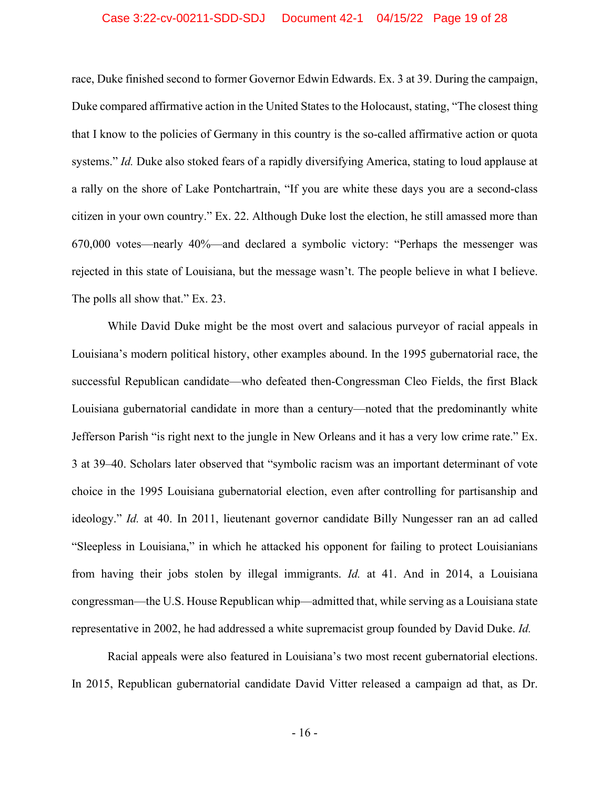#### Case 3:22-cv-00211-SDD-SDJ Document 42-1 04/15/22 Page 19 of 28

race, Duke finished second to former Governor Edwin Edwards. Ex. 3 at 39. During the campaign, Duke compared affirmative action in the United States to the Holocaust, stating, "The closest thing that I know to the policies of Germany in this country is the so-called affirmative action or quota systems." *Id.* Duke also stoked fears of a rapidly diversifying America, stating to loud applause at a rally on the shore of Lake Pontchartrain, "If you are white these days you are a second-class citizen in your own country." Ex. 22. Although Duke lost the election, he still amassed more than 670,000 votes—nearly 40%—and declared a symbolic victory: "Perhaps the messenger was rejected in this state of Louisiana, but the message wasn't. The people believe in what I believe. The polls all show that." Ex. 23.

While David Duke might be the most overt and salacious purveyor of racial appeals in Louisiana's modern political history, other examples abound. In the 1995 gubernatorial race, the successful Republican candidate—who defeated then-Congressman Cleo Fields, the first Black Louisiana gubernatorial candidate in more than a century—noted that the predominantly white Jefferson Parish "is right next to the jungle in New Orleans and it has a very low crime rate." Ex. 3 at 39–40. Scholars later observed that "symbolic racism was an important determinant of vote choice in the 1995 Louisiana gubernatorial election, even after controlling for partisanship and ideology." *Id.* at 40. In 2011, lieutenant governor candidate Billy Nungesser ran an ad called "Sleepless in Louisiana," in which he attacked his opponent for failing to protect Louisianians from having their jobs stolen by illegal immigrants. *Id.* at 41. And in 2014, a Louisiana congressman—the U.S. House Republican whip—admitted that, while serving as a Louisiana state representative in 2002, he had addressed a white supremacist group founded by David Duke. *Id.*

Racial appeals were also featured in Louisiana's two most recent gubernatorial elections. In 2015, Republican gubernatorial candidate David Vitter released a campaign ad that, as Dr.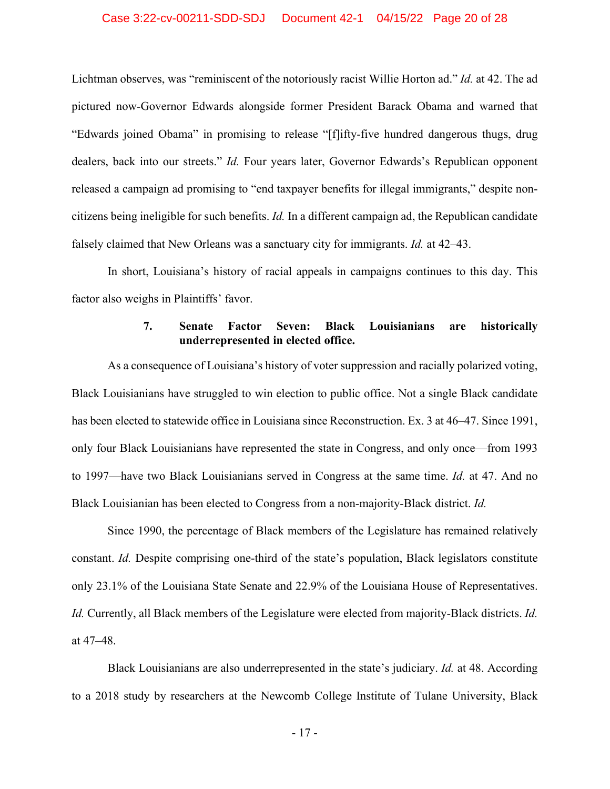#### Case 3:22-cv-00211-SDD-SDJ Document 42-1 04/15/22 Page 20 of 28

Lichtman observes, was "reminiscent of the notoriously racist Willie Horton ad." *Id.* at 42. The ad pictured now-Governor Edwards alongside former President Barack Obama and warned that "Edwards joined Obama" in promising to release "[f]ifty-five hundred dangerous thugs, drug dealers, back into our streets." *Id.* Four years later, Governor Edwards's Republican opponent released a campaign ad promising to "end taxpayer benefits for illegal immigrants," despite noncitizens being ineligible for such benefits. *Id.* In a different campaign ad, the Republican candidate falsely claimed that New Orleans was a sanctuary city for immigrants. *Id.* at 42–43.

In short, Louisiana's history of racial appeals in campaigns continues to this day. This factor also weighs in Plaintiffs' favor.

# **7. Senate Factor Seven: Black Louisianians are historically underrepresented in elected office.**

<span id="page-24-0"></span>As a consequence of Louisiana's history of voter suppression and racially polarized voting, Black Louisianians have struggled to win election to public office. Not a single Black candidate has been elected to statewide office in Louisiana since Reconstruction. Ex. 3 at 46–47. Since 1991, only four Black Louisianians have represented the state in Congress, and only once—from 1993 to 1997—have two Black Louisianians served in Congress at the same time. *Id.* at 47. And no Black Louisianian has been elected to Congress from a non-majority-Black district. *Id.*

Since 1990, the percentage of Black members of the Legislature has remained relatively constant. *Id.* Despite comprising one-third of the state's population, Black legislators constitute only 23.1% of the Louisiana State Senate and 22.9% of the Louisiana House of Representatives. *Id.* Currently, all Black members of the Legislature were elected from majority-Black districts. *Id.* at 47–48.

Black Louisianians are also underrepresented in the state's judiciary. *Id.* at 48. According to a 2018 study by researchers at the Newcomb College Institute of Tulane University, Black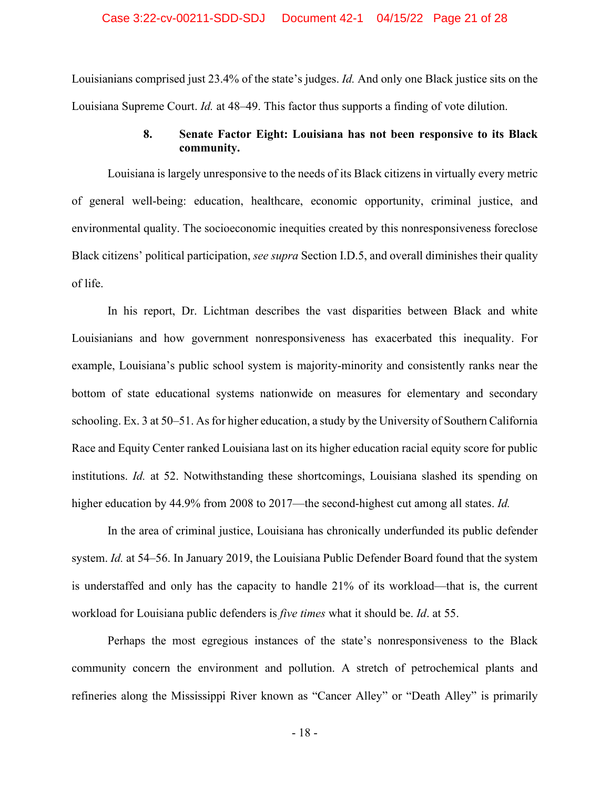Louisianians comprised just 23.4% of the state's judges. *Id.* And only one Black justice sits on the Louisiana Supreme Court. *Id.* at 48–49. This factor thus supports a finding of vote dilution.

# **8. Senate Factor Eight: Louisiana has not been responsive to its Black community.**

<span id="page-25-0"></span>Louisiana is largely unresponsive to the needs of its Black citizens in virtually every metric of general well-being: education, healthcare, economic opportunity, criminal justice, and environmental quality. The socioeconomic inequities created by this nonresponsiveness foreclose Black citizens' political participation, *see supra* Section I.D.5, and overall diminishes their quality of life.

In his report, Dr. Lichtman describes the vast disparities between Black and white Louisianians and how government nonresponsiveness has exacerbated this inequality. For example, Louisiana's public school system is majority-minority and consistently ranks near the bottom of state educational systems nationwide on measures for elementary and secondary schooling. Ex. 3 at 50–51. As for higher education, a study by the University of Southern California Race and Equity Center ranked Louisiana last on its higher education racial equity score for public institutions. *Id.* at 52. Notwithstanding these shortcomings, Louisiana slashed its spending on higher education by 44.9% from 2008 to 2017—the second-highest cut among all states. *Id.*

In the area of criminal justice, Louisiana has chronically underfunded its public defender system. *Id.* at 54–56. In January 2019, the Louisiana Public Defender Board found that the system is understaffed and only has the capacity to handle 21% of its workload—that is, the current workload for Louisiana public defenders is *five times* what it should be. *Id*. at 55.

Perhaps the most egregious instances of the state's nonresponsiveness to the Black community concern the environment and pollution. A stretch of petrochemical plants and refineries along the Mississippi River known as "Cancer Alley" or "Death Alley" is primarily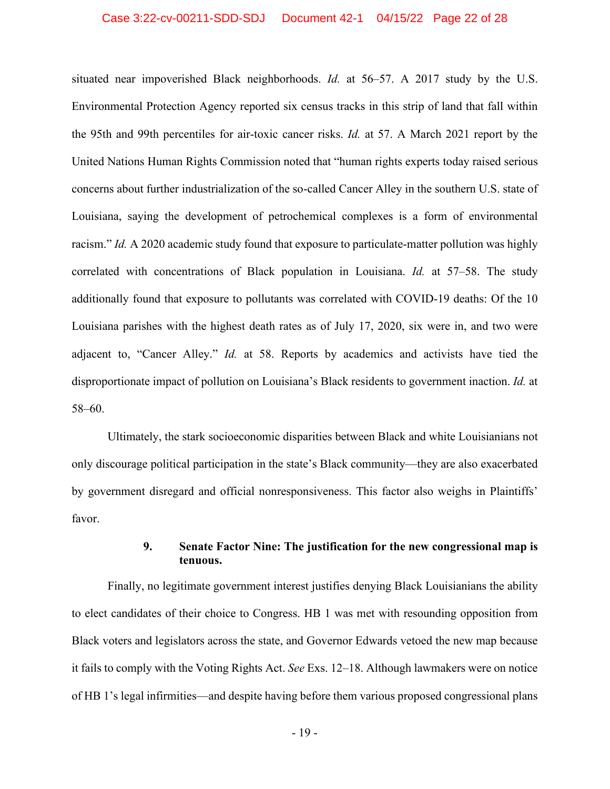#### Case 3:22-cv-00211-SDD-SDJ Document 42-1 04/15/22 Page 22 of 28

situated near impoverished Black neighborhoods. *Id.* at 56–57. A 2017 study by the U.S. Environmental Protection Agency reported six census tracks in this strip of land that fall within the 95th and 99th percentiles for air-toxic cancer risks. *Id.* at 57. A March 2021 report by the United Nations Human Rights Commission noted that "human rights experts today raised serious concerns about further industrialization of the so-called Cancer Alley in the southern U.S. state of Louisiana, saying the development of petrochemical complexes is a form of environmental racism." *Id.* A 2020 academic study found that exposure to particulate-matter pollution was highly correlated with concentrations of Black population in Louisiana. *Id.* at 57–58. The study additionally found that exposure to pollutants was correlated with COVID-19 deaths: Of the 10 Louisiana parishes with the highest death rates as of July 17, 2020, six were in, and two were adjacent to, "Cancer Alley." *Id.* at 58. Reports by academics and activists have tied the disproportionate impact of pollution on Louisiana's Black residents to government inaction. *Id.* at 58–60.

Ultimately, the stark socioeconomic disparities between Black and white Louisianians not only discourage political participation in the state's Black community—they are also exacerbated by government disregard and official nonresponsiveness. This factor also weighs in Plaintiffs' favor.

# **9. Senate Factor Nine: The justification for the new congressional map is tenuous.**

<span id="page-26-0"></span>Finally, no legitimate government interest justifies denying Black Louisianians the ability to elect candidates of their choice to Congress. HB 1 was met with resounding opposition from Black voters and legislators across the state, and Governor Edwards vetoed the new map because it fails to comply with the Voting Rights Act. *See* Exs. 12–18. Although lawmakers were on notice of HB 1's legal infirmities—and despite having before them various proposed congressional plans

- 19 -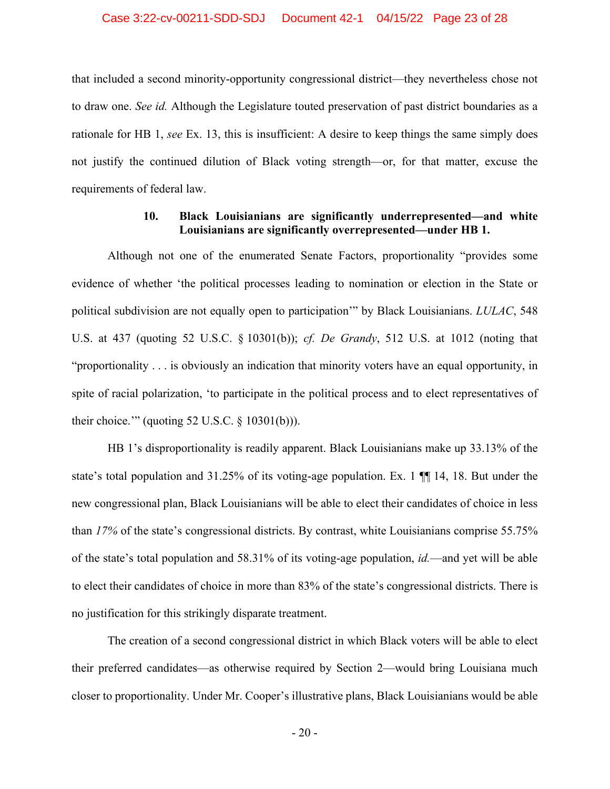that included a second minority-opportunity congressional district—they nevertheless chose not to draw one. *See id.* Although the Legislature touted preservation of past district boundaries as a rationale for HB 1, *see* Ex. 13, this is insufficient: A desire to keep things the same simply does not justify the continued dilution of Black voting strength—or, for that matter, excuse the requirements of federal law.

# **10. Black Louisianians are significantly underrepresented—and white Louisianians are significantly overrepresented—under HB 1.**

<span id="page-27-0"></span>Although not one of the enumerated Senate Factors, proportionality "provides some evidence of whether 'the political processes leading to nomination or election in the State or political subdivision are not equally open to participation'" by Black Louisianians. *LULAC*, 548 U.S. at 437 (quoting 52 U.S.C. § 10301(b)); *cf. De Grandy*, 512 U.S. at 1012 (noting that "proportionality . . . is obviously an indication that minority voters have an equal opportunity, in spite of racial polarization, 'to participate in the political process and to elect representatives of their choice.'" (quoting 52 U.S.C. § 10301(b))).

HB 1's disproportionality is readily apparent. Black Louisianians make up 33.13% of the state's total population and 31.25% of its voting-age population. Ex. 1 ¶¶ 14, 18. But under the new congressional plan, Black Louisianians will be able to elect their candidates of choice in less than *17%* of the state's congressional districts. By contrast, white Louisianians comprise 55.75% of the state's total population and 58.31% of its voting-age population, *id.*—and yet will be able to elect their candidates of choice in more than 83% of the state's congressional districts. There is no justification for this strikingly disparate treatment.

The creation of a second congressional district in which Black voters will be able to elect their preferred candidates—as otherwise required by Section 2—would bring Louisiana much closer to proportionality. Under Mr. Cooper's illustrative plans, Black Louisianians would be able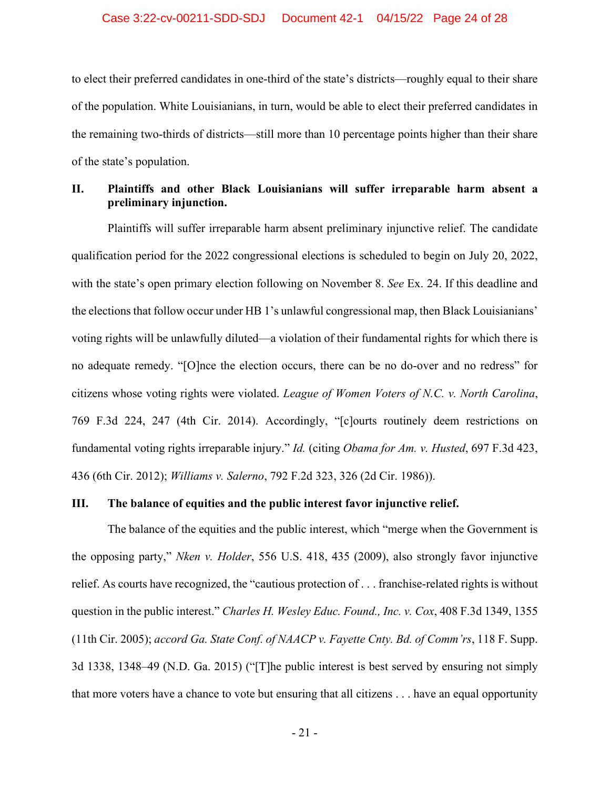#### Case 3:22-cv-00211-SDD-SDJ Document 42-1 04/15/22 Page 24 of 28

to elect their preferred candidates in one-third of the state's districts—roughly equal to their share of the population. White Louisianians, in turn, would be able to elect their preferred candidates in the remaining two-thirds of districts—still more than 10 percentage points higher than their share of the state's population.

### <span id="page-28-0"></span>**II. Plaintiffs and other Black Louisianians will suffer irreparable harm absent a preliminary injunction.**

Plaintiffs will suffer irreparable harm absent preliminary injunctive relief. The candidate qualification period for the 2022 congressional elections is scheduled to begin on July 20, 2022, with the state's open primary election following on November 8. *See* Ex. 24. If this deadline and the elections that follow occur under HB 1's unlawful congressional map, then Black Louisianians' voting rights will be unlawfully diluted—a violation of their fundamental rights for which there is no adequate remedy. "[O]nce the election occurs, there can be no do-over and no redress" for citizens whose voting rights were violated. *League of Women Voters of N.C. v. North Carolina*, 769 F.3d 224, 247 (4th Cir. 2014). Accordingly, "[c]ourts routinely deem restrictions on fundamental voting rights irreparable injury." *Id.* (citing *Obama for Am. v. Husted*, 697 F.3d 423, 436 (6th Cir. 2012); *Williams v. Salerno*, 792 F.2d 323, 326 (2d Cir. 1986)).

#### <span id="page-28-1"></span>**III. The balance of equities and the public interest favor injunctive relief.**

The balance of the equities and the public interest, which "merge when the Government is the opposing party," *Nken v. Holder*, 556 U.S. 418, 435 (2009), also strongly favor injunctive relief. As courts have recognized, the "cautious protection of . . . franchise-related rights is without question in the public interest." *Charles H. Wesley Educ. Found., Inc. v. Cox*, 408 F.3d 1349, 1355 (11th Cir. 2005); *accord Ga. State Conf. of NAACP v. Fayette Cnty. Bd. of Comm'rs*, 118 F. Supp. 3d 1338, 1348–49 (N.D. Ga. 2015) ("[T]he public interest is best served by ensuring not simply that more voters have a chance to vote but ensuring that all citizens . . . have an equal opportunity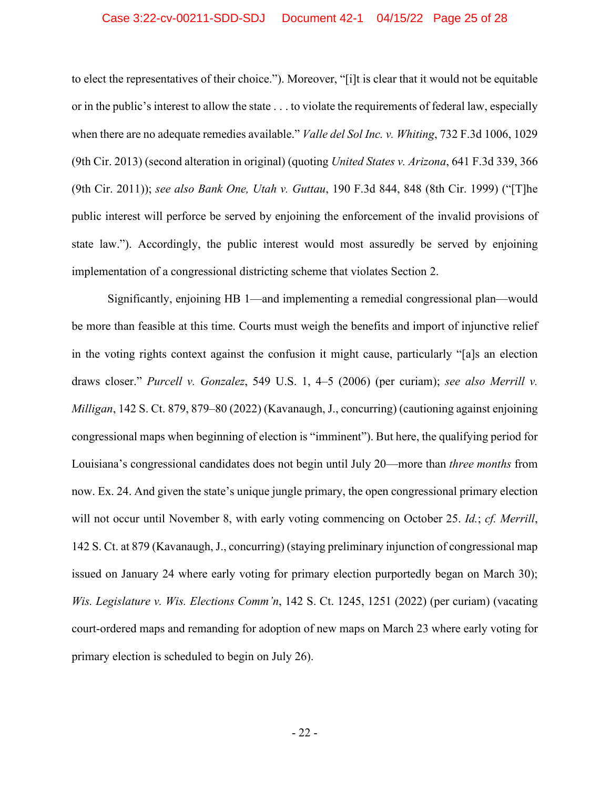#### Case 3:22-cv-00211-SDD-SDJ Document 42-1 04/15/22 Page 25 of 28

to elect the representatives of their choice."). Moreover, "[i]t is clear that it would not be equitable or in the public's interest to allow the state . . . to violate the requirements of federal law, especially when there are no adequate remedies available." *Valle del Sol Inc. v. Whiting*, 732 F.3d 1006, 1029 (9th Cir. 2013) (second alteration in original) (quoting *United States v. Arizona*, 641 F.3d 339, 366 (9th Cir. 2011)); *see also Bank One, Utah v. Guttau*, 190 F.3d 844, 848 (8th Cir. 1999) ("[T]he public interest will perforce be served by enjoining the enforcement of the invalid provisions of state law."). Accordingly, the public interest would most assuredly be served by enjoining implementation of a congressional districting scheme that violates Section 2.

Significantly, enjoining HB 1—and implementing a remedial congressional plan—would be more than feasible at this time. Courts must weigh the benefits and import of injunctive relief in the voting rights context against the confusion it might cause, particularly "[a]s an election draws closer." *Purcell v. Gonzalez*, 549 U.S. 1, 4–5 (2006) (per curiam); *see also Merrill v. Milligan*, 142 S. Ct. 879, 879–80 (2022) (Kavanaugh, J., concurring) (cautioning against enjoining congressional maps when beginning of election is "imminent"). But here, the qualifying period for Louisiana's congressional candidates does not begin until July 20—more than *three months* from now. Ex. 24. And given the state's unique jungle primary, the open congressional primary election will not occur until November 8, with early voting commencing on October 25. *Id.*; *cf. Merrill*, 142 S. Ct. at 879 (Kavanaugh, J., concurring) (staying preliminary injunction of congressional map issued on January 24 where early voting for primary election purportedly began on March 30); *Wis. Legislature v. Wis. Elections Comm'n*, 142 S. Ct. 1245, 1251 (2022) (per curiam) (vacating court-ordered maps and remanding for adoption of new maps on March 23 where early voting for primary election is scheduled to begin on July 26).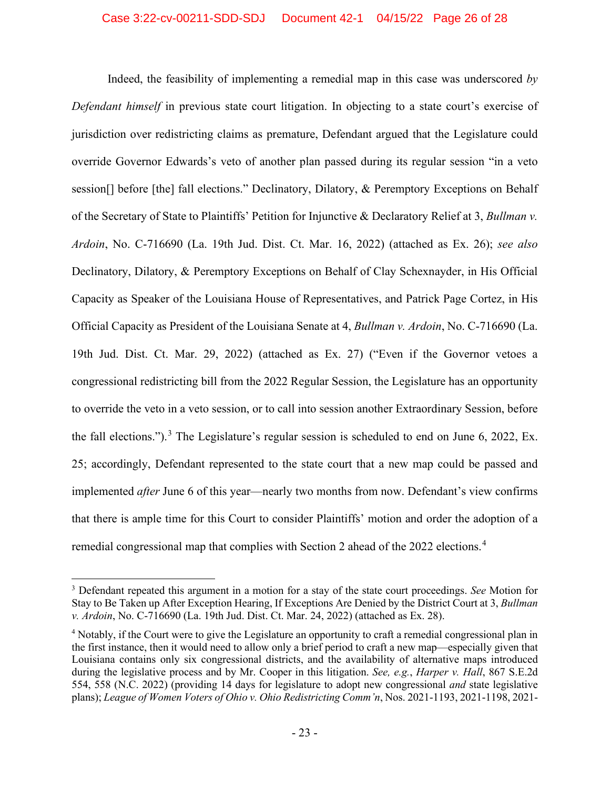Indeed, the feasibility of implementing a remedial map in this case was underscored *by Defendant himself* in previous state court litigation. In objecting to a state court's exercise of jurisdiction over redistricting claims as premature, Defendant argued that the Legislature could override Governor Edwards's veto of another plan passed during its regular session "in a veto session[] before [the] fall elections." Declinatory, Dilatory, & Peremptory Exceptions on Behalf of the Secretary of State to Plaintiffs' Petition for Injunctive & Declaratory Relief at 3, *Bullman v. Ardoin*, No. C-716690 (La. 19th Jud. Dist. Ct. Mar. 16, 2022) (attached as Ex. 26); *see also* Declinatory, Dilatory, & Peremptory Exceptions on Behalf of Clay Schexnayder, in His Official Capacity as Speaker of the Louisiana House of Representatives, and Patrick Page Cortez, in His Official Capacity as President of the Louisiana Senate at 4, *Bullman v. Ardoin*, No. C-716690 (La. 19th Jud. Dist. Ct. Mar. 29, 2022) (attached as Ex. 27) ("Even if the Governor vetoes a congressional redistricting bill from the 2022 Regular Session, the Legislature has an opportunity to override the veto in a veto session, or to call into session another Extraordinary Session, before the fall elections.").<sup>[3](#page-30-0)</sup> The Legislature's regular session is scheduled to end on June 6, 2022, Ex. 25; accordingly, Defendant represented to the state court that a new map could be passed and implemented *after* June 6 of this year—nearly two months from now. Defendant's view confirms that there is ample time for this Court to consider Plaintiffs' motion and order the adoption of a remedial congressional map that complies with Section 2 ahead of the 2022 elections.<sup>[4](#page-30-1)</sup>

<span id="page-30-0"></span><sup>3</sup> Defendant repeated this argument in a motion for a stay of the state court proceedings. *See* Motion for Stay to Be Taken up After Exception Hearing, If Exceptions Are Denied by the District Court at 3, *Bullman v. Ardoin*, No. C-716690 (La. 19th Jud. Dist. Ct. Mar. 24, 2022) (attached as Ex. 28).

<span id="page-30-1"></span><sup>4</sup> Notably, if the Court were to give the Legislature an opportunity to craft a remedial congressional plan in the first instance, then it would need to allow only a brief period to craft a new map—especially given that Louisiana contains only six congressional districts, and the availability of alternative maps introduced during the legislative process and by Mr. Cooper in this litigation. *See, e.g.*, *Harper v. Hall*, 867 S.E.2d 554, 558 (N.C. 2022) (providing 14 days for legislature to adopt new congressional *and* state legislative plans); *League of Women Voters of Ohio v. Ohio Redistricting Comm'n*, Nos. 2021-1193, 2021-1198, 2021-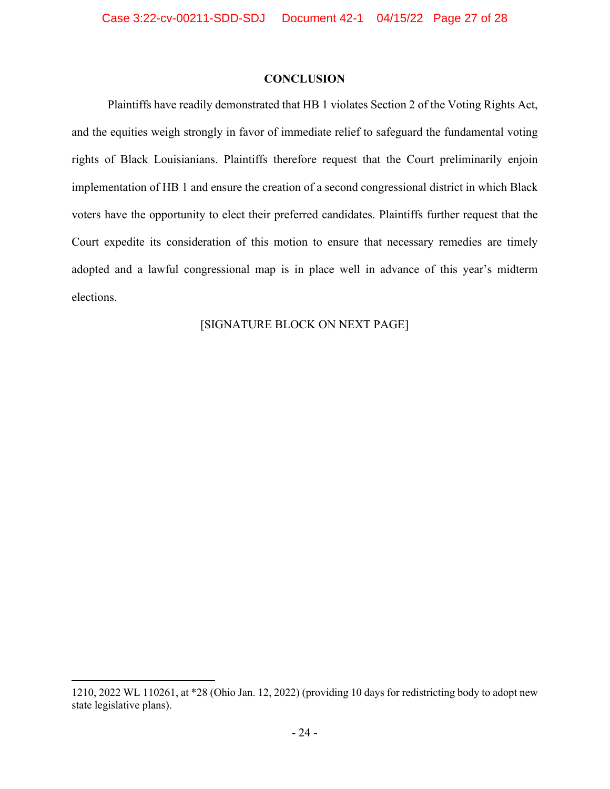### **CONCLUSION**

<span id="page-31-0"></span>Plaintiffs have readily demonstrated that HB 1 violates Section 2 of the Voting Rights Act, and the equities weigh strongly in favor of immediate relief to safeguard the fundamental voting rights of Black Louisianians. Plaintiffs therefore request that the Court preliminarily enjoin implementation of HB 1 and ensure the creation of a second congressional district in which Black voters have the opportunity to elect their preferred candidates. Plaintiffs further request that the Court expedite its consideration of this motion to ensure that necessary remedies are timely adopted and a lawful congressional map is in place well in advance of this year's midterm elections.

# [SIGNATURE BLOCK ON NEXT PAGE]

<sup>1210, 2022</sup> WL 110261, at \*28 (Ohio Jan. 12, 2022) (providing 10 days for redistricting body to adopt new state legislative plans).